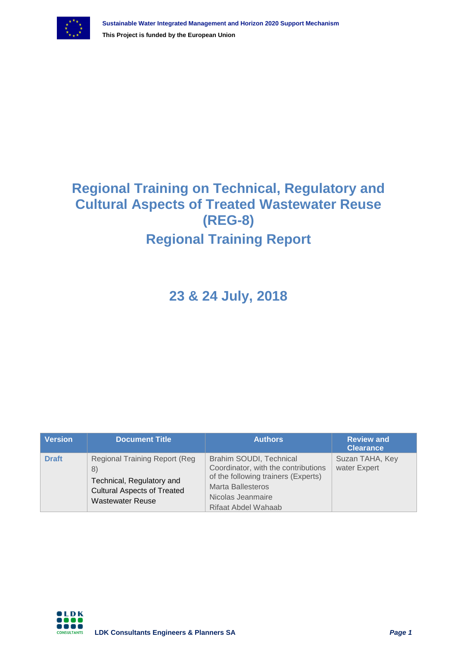

## **Regional Training on Technical, Regulatory and Cultural Aspects of Treated Wastewater Reuse (REG-8) Regional Training Report**

**23 & 24 July, 2018**

| <b>Version</b> | <b>Document Title</b>                                                                                                                     | <b>Authors</b>                                                                                                                                                                | <b>Review and</b><br><b>Clearance</b> |
|----------------|-------------------------------------------------------------------------------------------------------------------------------------------|-------------------------------------------------------------------------------------------------------------------------------------------------------------------------------|---------------------------------------|
| <b>Draft</b>   | <b>Regional Training Report (Reg)</b><br>8)<br>Technical, Regulatory and<br><b>Cultural Aspects of Treated</b><br><b>Wastewater Reuse</b> | Brahim SOUDI, Technical<br>Coordinator, with the contributions<br>of the following trainers (Experts)<br><b>Marta Ballesteros</b><br>Nicolas Jeanmaire<br>Rifaat Abdel Wahaab | Suzan TAHA, Key<br>water Expert       |

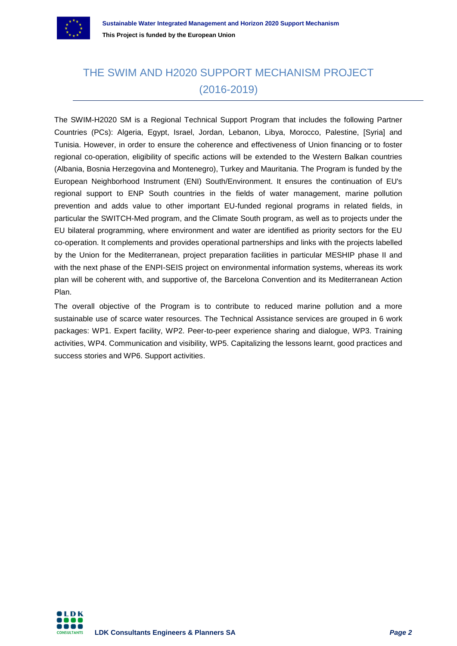

### THE SWIM AND H2020 SUPPORT MECHANISM PROJECT (2016-2019)

The SWIM-H2020 SM is a Regional Technical Support Program that includes the following Partner Countries (PCs): Algeria, Egypt, Israel, Jordan, Lebanon, Libya, Morocco, Palestine, [Syria] and Tunisia. However, in order to ensure the coherence and effectiveness of Union financing or to foster regional co-operation, eligibility of specific actions will be extended to the Western Balkan countries (Albania, Bosnia Herzegovina and Montenegro), Turkey and Mauritania. The Program is funded by the European Neighborhood Instrument (ENI) South/Environment. It ensures the continuation of EU's regional support to ENP South countries in the fields of water management, marine pollution prevention and adds value to other important EU-funded regional programs in related fields, in particular the SWITCH-Med program, and the Climate South program, as well as to projects under the EU bilateral programming, where environment and water are identified as priority sectors for the EU co-operation. It complements and provides operational partnerships and links with the projects labelled by the Union for the Mediterranean, project preparation facilities in particular MESHIP phase II and with the next phase of the ENPI-SEIS project on environmental information systems, whereas its work plan will be coherent with, and supportive of, the Barcelona Convention and its Mediterranean Action Plan.

The overall objective of the Program is to contribute to reduced marine pollution and a more sustainable use of scarce water resources. The Technical Assistance services are grouped in 6 work packages: WP1. Expert facility, WP2. Peer-to-peer experience sharing and dialogue, WP3. Training activities, WP4. Communication and visibility, WP5. Capitalizing the lessons learnt, good practices and success stories and WP6. Support activities.

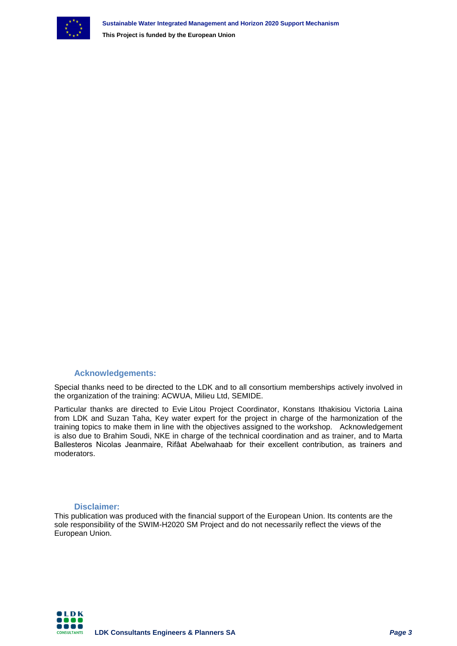

#### **Acknowledgements:**

Special thanks need to be directed to the LDK and to all consortium memberships actively involved in the organization of the training: ACWUA, Milieu Ltd, SEMIDE.

Particular thanks are directed to Evie Litou Project Coordinator, Konstans Ithakisiou Victoria Laina from LDK and Suzan Taha, Key water expert for the project in charge of the harmonization of the training topics to make them in line with the objectives assigned to the workshop. Acknowledgement is also due to Brahim Soudi, NKE in charge of the technical coordination and as trainer, and to Marta Ballesteros Nicolas Jeanmaire, Rifâat Abelwahaab for their excellent contribution, as trainers and moderators.

#### **Disclaimer:**

This publication was produced with the financial support of the European Union. Its contents are the sole responsibility of the SWIM-H2020 SM Project and do not necessarily reflect the views of the European Union.

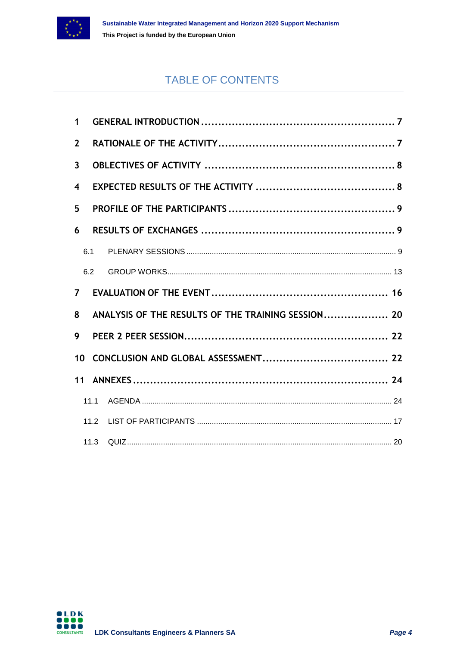

### TABLE OF CONTENTS

| $\mathbf{1}$            |      |                                                    |  |
|-------------------------|------|----------------------------------------------------|--|
| $\overline{2}$          |      |                                                    |  |
| $\overline{3}$          |      |                                                    |  |
| $\overline{\mathbf{4}}$ |      |                                                    |  |
| 5                       |      |                                                    |  |
| 6                       |      |                                                    |  |
|                         | 6.1  |                                                    |  |
|                         | 6.2  |                                                    |  |
| $7^{\circ}$             |      |                                                    |  |
| 8                       |      | ANALYSIS OF THE RESULTS OF THE TRAINING SESSION 20 |  |
| 9                       |      |                                                    |  |
| 10 <sup>1</sup>         |      |                                                    |  |
| 11                      |      |                                                    |  |
|                         | 11.1 |                                                    |  |
|                         | 11.2 |                                                    |  |
|                         |      |                                                    |  |

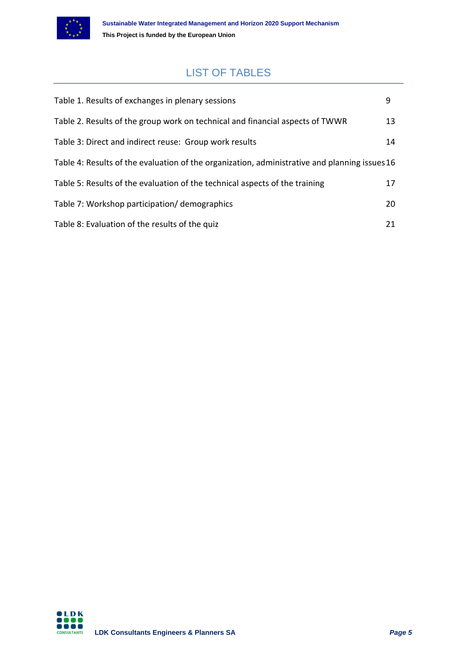

### LIST OF TABLES

| Table 1. Results of exchanges in plenary sessions                                             | 9  |  |
|-----------------------------------------------------------------------------------------------|----|--|
| Table 2. Results of the group work on technical and financial aspects of TWWR                 | 13 |  |
| Table 3: Direct and indirect reuse: Group work results                                        | 14 |  |
| Table 4: Results of the evaluation of the organization, administrative and planning issues 16 |    |  |
| Table 5: Results of the evaluation of the technical aspects of the training                   | 17 |  |
| Table 7: Workshop participation/demographics                                                  | 20 |  |
| Table 8: Evaluation of the results of the quiz                                                | 21 |  |

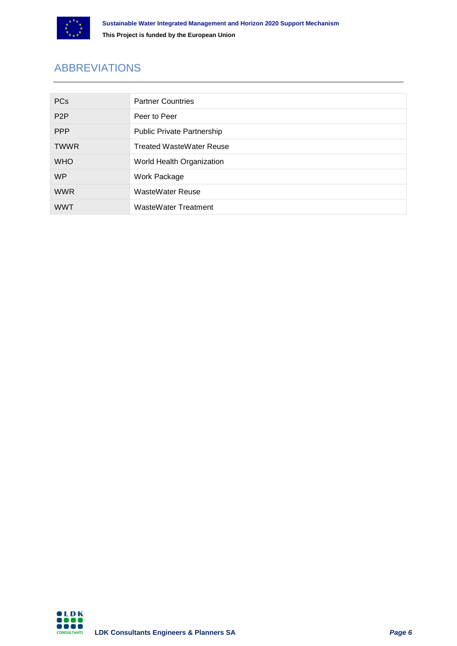

### ABBREVIATIONS

| <b>PCs</b>       | <b>Partner Countries</b>          |
|------------------|-----------------------------------|
| P <sub>2</sub> P | Peer to Peer                      |
| <b>PPP</b>       | <b>Public Private Partnership</b> |
| <b>TWWR</b>      | <b>Treated WasteWater Reuse</b>   |
| <b>WHO</b>       | World Health Organization         |
| WP               | Work Package                      |
| <b>WWR</b>       | <b>WasteWater Reuse</b>           |
| <b>WWT</b>       | <b>WasteWater Treatment</b>       |

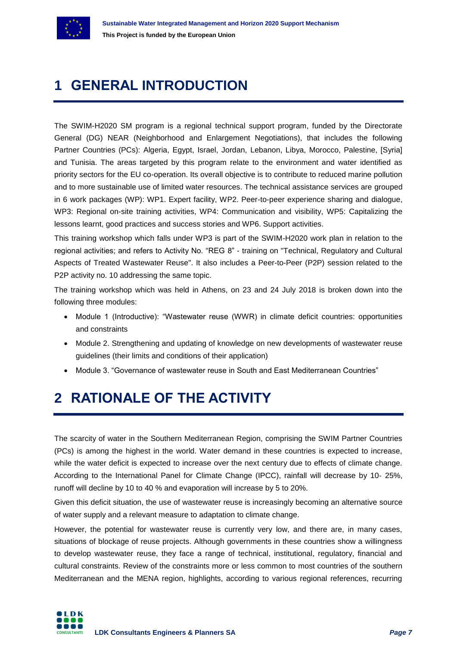

## <span id="page-6-0"></span>**1 GENERAL INTRODUCTION**

The SWIM-H2020 SM program is a regional technical support program, funded by the Directorate General (DG) NEAR (Neighborhood and Enlargement Negotiations), that includes the following Partner Countries (PCs): Algeria, Egypt, Israel, Jordan, Lebanon, Libya, Morocco, Palestine, [Syria] and Tunisia. The areas targeted by this program relate to the environment and water identified as priority sectors for the EU co-operation. Its overall objective is to contribute to reduced marine pollution and to more sustainable use of limited water resources. The technical assistance services are grouped in 6 work packages (WP): WP1. Expert facility, WP2. Peer-to-peer experience sharing and dialogue, WP3: Regional on-site training activities, WP4: Communication and visibility, WP5: Capitalizing the lessons learnt, good practices and success stories and WP6. Support activities.

This training workshop which falls under WP3 is part of the SWIM-H2020 work plan in relation to the regional activities; and refers to Activity No. "REG 8" - training on "Technical, Regulatory and Cultural Aspects of Treated Wastewater Reuse". It also includes a Peer-to-Peer (P2P) session related to the P2P activity no. 10 addressing the same topic.

The training workshop which was held in Athens, on 23 and 24 July 2018 is broken down into the following three modules:

- Module 1 (Introductive): "Wastewater reuse (WWR) in climate deficit countries: opportunities and constraints
- Module 2. Strengthening and updating of knowledge on new developments of wastewater reuse guidelines (their limits and conditions of their application)
- Module 3. "Governance of wastewater reuse in South and East Mediterranean Countries"

### <span id="page-6-1"></span>**2 RATIONALE OF THE ACTIVITY**

The scarcity of water in the Southern Mediterranean Region, comprising the SWIM Partner Countries (PCs) is among the highest in the world. Water demand in these countries is expected to increase, while the water deficit is expected to increase over the next century due to effects of climate change. According to the International Panel for Climate Change (IPCC), rainfall will decrease by 10‐ 25%, runoff will decline by 10 to 40 % and evaporation will increase by 5 to 20%.

Given this deficit situation, the use of wastewater reuse is increasingly becoming an alternative source of water supply and a relevant measure to adaptation to climate change.

However, the potential for wastewater reuse is currently very low, and there are, in many cases, situations of blockage of reuse projects. Although governments in these countries show a willingness to develop wastewater reuse, they face a range of technical, institutional, regulatory, financial and cultural constraints. Review of the constraints more or less common to most countries of the southern Mediterranean and the MENA region, highlights, according to various regional references, recurring

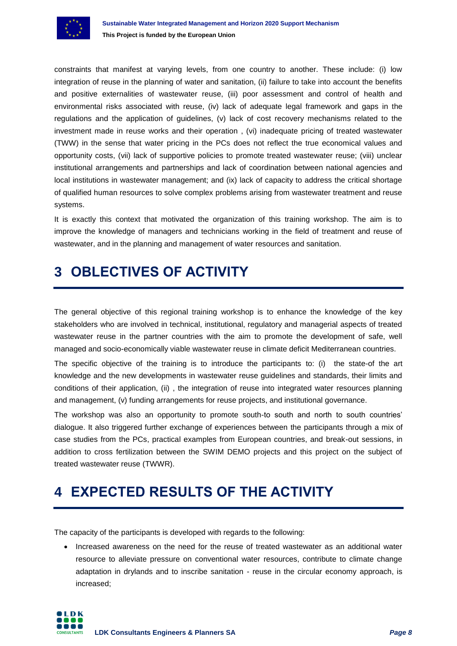

constraints that manifest at varying levels, from one country to another. These include: (i) low integration of reuse in the planning of water and sanitation, (ii) failure to take into account the benefits and positive externalities of wastewater reuse, (iii) poor assessment and control of health and environmental risks associated with reuse, (iv) lack of adequate legal framework and gaps in the regulations and the application of guidelines, (v) lack of cost recovery mechanisms related to the investment made in reuse works and their operation , (vi) inadequate pricing of treated wastewater (TWW) in the sense that water pricing in the PCs does not reflect the true economical values and opportunity costs, (vii) lack of supportive policies to promote treated wastewater reuse; (viii) unclear institutional arrangements and partnerships and lack of coordination between national agencies and local institutions in wastewater management; and (ix) lack of capacity to address the critical shortage of qualified human resources to solve complex problems arising from wastewater treatment and reuse systems.

It is exactly this context that motivated the organization of this training workshop. The aim is to improve the knowledge of managers and technicians working in the field of treatment and reuse of wastewater, and in the planning and management of water resources and sanitation.

## <span id="page-7-0"></span>**3 OBLECTIVES OF ACTIVITY**

The general objective of this regional training workshop is to enhance the knowledge of the key stakeholders who are involved in technical, institutional, regulatory and managerial aspects of treated wastewater reuse in the partner countries with the aim to promote the development of safe, well managed and socio-economically viable wastewater reuse in climate deficit Mediterranean countries.

The specific objective of the training is to introduce the participants to: (i) the state-of the art knowledge and the new developments in wastewater reuse guidelines and standards, their limits and conditions of their application, (ii) , the integration of reuse into integrated water resources planning and management, (v) funding arrangements for reuse projects, and institutional governance.

The workshop was also an opportunity to promote south-to south and north to south countries' dialogue. It also triggered further exchange of experiences between the participants through a mix of case studies from the PCs, practical examples from European countries, and break-out sessions, in addition to cross fertilization between the SWIM DEMO projects and this project on the subject of treated wastewater reuse (TWWR).

## <span id="page-7-1"></span>**4 EXPECTED RESULTS OF THE ACTIVITY**

The capacity of the participants is developed with regards to the following:

• Increased awareness on the need for the reuse of treated wastewater as an additional water resource to alleviate pressure on conventional water resources, contribute to climate change adaptation in drylands and to inscribe sanitation - reuse in the circular economy approach, is increased;

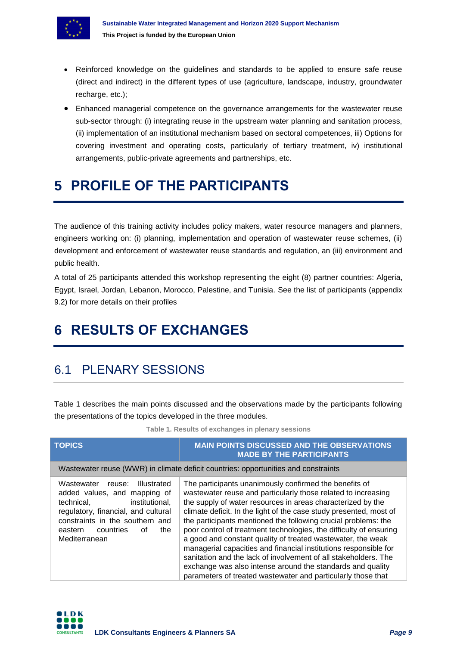

- Reinforced knowledge on the guidelines and standards to be applied to ensure safe reuse (direct and indirect) in the different types of use (agriculture, landscape, industry, groundwater recharge, etc.);
- Enhanced managerial competence on the governance arrangements for the wastewater reuse sub-sector through: (i) integrating reuse in the upstream water planning and sanitation process, (ii) implementation of an institutional mechanism based on sectoral competences, iii) Options for covering investment and operating costs, particularly of tertiary treatment, iv) institutional arrangements, public-private agreements and partnerships, etc.

## <span id="page-8-0"></span>**5 PROFILE OF THE PARTICIPANTS**

The audience of this training activity includes policy makers, water resource managers and planners, engineers working on: (i) planning, implementation and operation of wastewater reuse schemes, (ii) development and enforcement of wastewater reuse standards and regulation, an (iii) environment and public health.

A total of 25 participants attended this workshop representing the eight (8) partner countries: Algeria, Egypt, Israel, Jordan, Lebanon, Morocco, Palestine, and Tunisia. See the list of participants (appendix 9.2) for more details on their profiles

## <span id="page-8-1"></span>**6 RESULTS OF EXCHANGES**

### <span id="page-8-2"></span>6.1 PLENARY SESSIONS

Table 1 describes the main points discussed and the observations made by the participants following the presentations of the topics developed in the three modules.

**Table 1. Results of exchanges in plenary sessions**

<span id="page-8-3"></span>

| <b>TOPICS</b>                                                                                                                                                                                                                              | <b>MAIN POINTS DISCUSSED AND THE OBSERVATIONS</b><br><b>MADE BY THE PARTICIPANTS</b>                                                                                                                                                                                                                                                                                                                                                                                                                                                                                                                                                                                                                                                     |
|--------------------------------------------------------------------------------------------------------------------------------------------------------------------------------------------------------------------------------------------|------------------------------------------------------------------------------------------------------------------------------------------------------------------------------------------------------------------------------------------------------------------------------------------------------------------------------------------------------------------------------------------------------------------------------------------------------------------------------------------------------------------------------------------------------------------------------------------------------------------------------------------------------------------------------------------------------------------------------------------|
|                                                                                                                                                                                                                                            | Wastewater reuse (WWR) in climate deficit countries: opportunities and constraints                                                                                                                                                                                                                                                                                                                                                                                                                                                                                                                                                                                                                                                       |
| Wastewater<br><b>Illustrated</b><br>reuse:<br>added values, and mapping of<br>institutional,<br>technical,<br>regulatory, financial, and cultural<br>constraints in the southern and<br>countries<br>οf<br>eastern<br>the<br>Mediterranean | The participants unanimously confirmed the benefits of<br>wastewater reuse and particularly those related to increasing<br>the supply of water resources in areas characterized by the<br>climate deficit. In the light of the case study presented, most of<br>the participants mentioned the following crucial problems: the<br>poor control of treatment technologies, the difficulty of ensuring<br>a good and constant quality of treated wastewater, the weak<br>managerial capacities and financial institutions responsible for<br>sanitation and the lack of involvement of all stakeholders. The<br>exchange was also intense around the standards and quality<br>parameters of treated wastewater and particularly those that |

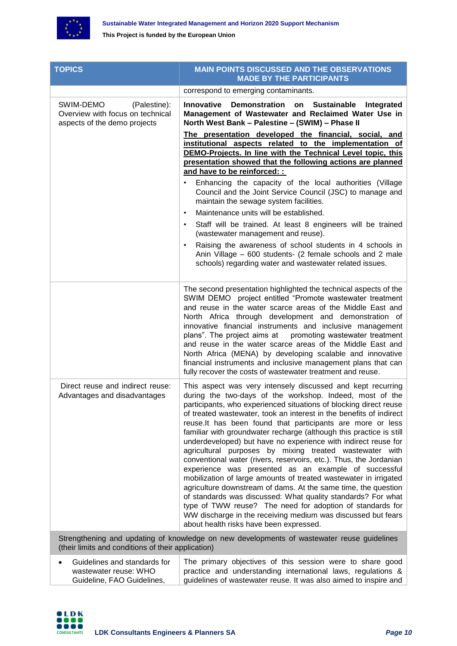

| <b>TOPICS</b>                                                                                 | <b>MAIN POINTS DISCUSSED AND THE OBSERVATIONS</b><br><b>MADE BY THE PARTICIPANTS</b>                                                                                                                                                                                                                                                                                                                                                                                                                                                                                                                                                                                                                                                                                                                                                                                                                                                                                                                                                              |
|-----------------------------------------------------------------------------------------------|---------------------------------------------------------------------------------------------------------------------------------------------------------------------------------------------------------------------------------------------------------------------------------------------------------------------------------------------------------------------------------------------------------------------------------------------------------------------------------------------------------------------------------------------------------------------------------------------------------------------------------------------------------------------------------------------------------------------------------------------------------------------------------------------------------------------------------------------------------------------------------------------------------------------------------------------------------------------------------------------------------------------------------------------------|
|                                                                                               | correspond to emerging contaminants.                                                                                                                                                                                                                                                                                                                                                                                                                                                                                                                                                                                                                                                                                                                                                                                                                                                                                                                                                                                                              |
| SWIM-DEMO<br>(Palestine):<br>Overview with focus on technical<br>aspects of the demo projects | <b>Innovative</b><br>Demonstration on Sustainable<br>Integrated<br>Management of Wastewater and Reclaimed Water Use in<br>North West Bank - Palestine - (SWIM) - Phase II                                                                                                                                                                                                                                                                                                                                                                                                                                                                                                                                                                                                                                                                                                                                                                                                                                                                         |
|                                                                                               | The presentation developed the financial, social, and<br>institutional aspects related to the implementation of<br>DEMO-Projects. In line with the Technical Level topic, this<br>presentation showed that the following actions are planned                                                                                                                                                                                                                                                                                                                                                                                                                                                                                                                                                                                                                                                                                                                                                                                                      |
|                                                                                               | and have to be reinforced: :<br>Enhancing the capacity of the local authorities (Village<br>٠<br>Council and the Joint Service Council (JSC) to manage and<br>maintain the sewage system facilities.                                                                                                                                                                                                                                                                                                                                                                                                                                                                                                                                                                                                                                                                                                                                                                                                                                              |
|                                                                                               | Maintenance units will be established.<br>$\bullet$                                                                                                                                                                                                                                                                                                                                                                                                                                                                                                                                                                                                                                                                                                                                                                                                                                                                                                                                                                                               |
|                                                                                               | Staff will be trained. At least 8 engineers will be trained<br>٠<br>(wastewater management and reuse).                                                                                                                                                                                                                                                                                                                                                                                                                                                                                                                                                                                                                                                                                                                                                                                                                                                                                                                                            |
|                                                                                               | Raising the awareness of school students in 4 schools in<br>Anin Village - 600 students- (2 female schools and 2 male<br>schools) regarding water and wastewater related issues.                                                                                                                                                                                                                                                                                                                                                                                                                                                                                                                                                                                                                                                                                                                                                                                                                                                                  |
|                                                                                               | The second presentation highlighted the technical aspects of the<br>SWIM DEMO project entitled "Promote wastewater treatment<br>and reuse in the water scarce areas of the Middle East and<br>North Africa through development and demonstration of<br>innovative financial instruments and inclusive management<br>plans". The project aims at promoting wastewater treatment<br>and reuse in the water scarce areas of the Middle East and<br>North Africa (MENA) by developing scalable and innovative<br>financial instruments and inclusive management plans that can<br>fully recover the costs of wastewater treatment and reuse.                                                                                                                                                                                                                                                                                                                                                                                                          |
| Direct reuse and indirect reuse:<br>Advantages and disadvantages                              | This aspect was very intensely discussed and kept recurring<br>during the two-days of the workshop. Indeed, most of the<br>participants, who experienced situations of blocking direct reuse<br>of treated wastewater, took an interest in the benefits of indirect<br>reuse.It has been found that participants are more or less<br>familiar with groundwater recharge (although this practice is still<br>underdeveloped) but have no experience with indirect reuse for<br>agricultural purposes by mixing treated wastewater with<br>conventional water (rivers, reservoirs, etc.). Thus, the Jordanian<br>experience was presented as an example of successful<br>mobilization of large amounts of treated wastewater in irrigated<br>agriculture downstream of dams. At the same time, the question<br>of standards was discussed: What quality standards? For what<br>type of TWW reuse? The need for adoption of standards for<br>WW discharge in the receiving medium was discussed but fears<br>about health risks have been expressed. |
| (their limits and conditions of their application)                                            | Strengthening and updating of knowledge on new developments of wastewater reuse guidelines                                                                                                                                                                                                                                                                                                                                                                                                                                                                                                                                                                                                                                                                                                                                                                                                                                                                                                                                                        |
| Guidelines and standards for<br>wastewater reuse: WHO<br>Guideline, FAO Guidelines,           | The primary objectives of this session were to share good<br>practice and understanding international laws, regulations &<br>guidelines of wastewater reuse. It was also aimed to inspire and                                                                                                                                                                                                                                                                                                                                                                                                                                                                                                                                                                                                                                                                                                                                                                                                                                                     |

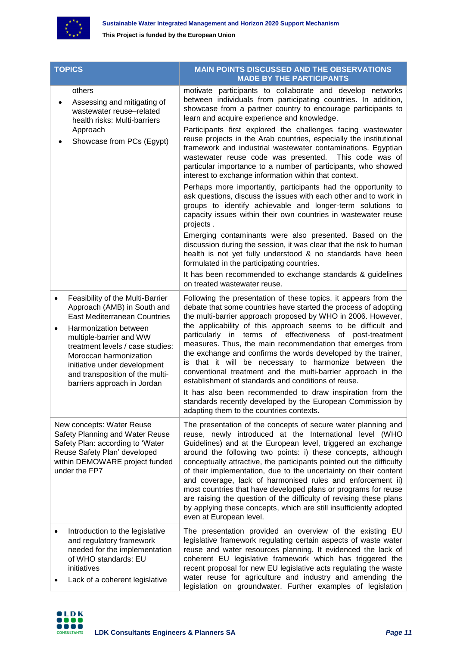

| <b>TOPICS</b>                                                                                                                                                                       |                                                                                                                                                                                                                                                                                                                            | <b>MAIN POINTS DISCUSSED AND THE OBSERVATIONS</b><br><b>MADE BY THE PARTICIPANTS</b>                                                                                                                                                                                                                                                                                                                                                                                                                                                                                                                                                                                                                        |
|-------------------------------------------------------------------------------------------------------------------------------------------------------------------------------------|----------------------------------------------------------------------------------------------------------------------------------------------------------------------------------------------------------------------------------------------------------------------------------------------------------------------------|-------------------------------------------------------------------------------------------------------------------------------------------------------------------------------------------------------------------------------------------------------------------------------------------------------------------------------------------------------------------------------------------------------------------------------------------------------------------------------------------------------------------------------------------------------------------------------------------------------------------------------------------------------------------------------------------------------------|
|                                                                                                                                                                                     | others<br>Assessing and mitigating of<br>wastewater reuse-related<br>health risks: Multi-barriers                                                                                                                                                                                                                          | motivate participants to collaborate and develop networks<br>between individuals from participating countries. In addition,<br>showcase from a partner country to encourage participants to<br>learn and acquire experience and knowledge.                                                                                                                                                                                                                                                                                                                                                                                                                                                                  |
|                                                                                                                                                                                     | Approach<br>Showcase from PCs (Egypt)                                                                                                                                                                                                                                                                                      | Participants first explored the challenges facing wastewater<br>reuse projects in the Arab countries, especially the institutional<br>framework and industrial wastewater contaminations. Egyptian<br>wastewater reuse code was presented. This code was of<br>particular importance to a number of participants, who showed<br>interest to exchange information within that context.                                                                                                                                                                                                                                                                                                                       |
|                                                                                                                                                                                     |                                                                                                                                                                                                                                                                                                                            | Perhaps more importantly, participants had the opportunity to<br>ask questions, discuss the issues with each other and to work in<br>groups to identify achievable and longer-term solutions to<br>capacity issues within their own countries in wastewater reuse<br>projects.                                                                                                                                                                                                                                                                                                                                                                                                                              |
|                                                                                                                                                                                     |                                                                                                                                                                                                                                                                                                                            | Emerging contaminants were also presented. Based on the<br>discussion during the session, it was clear that the risk to human<br>health is not yet fully understood & no standards have been<br>formulated in the participating countries.                                                                                                                                                                                                                                                                                                                                                                                                                                                                  |
|                                                                                                                                                                                     |                                                                                                                                                                                                                                                                                                                            | It has been recommended to exchange standards & guidelines<br>on treated wastewater reuse.                                                                                                                                                                                                                                                                                                                                                                                                                                                                                                                                                                                                                  |
| $\bullet$<br>$\bullet$                                                                                                                                                              | Feasibility of the Multi-Barrier<br>Approach (AMB) in South and<br><b>East Mediterranean Countries</b><br>Harmonization between<br>multiple-barrier and WW<br>treatment levels / case studies:<br>Moroccan harmonization<br>initiative under development<br>and transposition of the multi-<br>barriers approach in Jordan | Following the presentation of these topics, it appears from the<br>debate that some countries have started the process of adopting<br>the multi-barrier approach proposed by WHO in 2006. However,<br>the applicability of this approach seems to be difficult and<br>particularly in terms of effectiveness of post-treatment<br>measures. Thus, the main recommendation that emerges from<br>the exchange and confirms the words developed by the trainer,<br>is that it will be necessary to harmonize between the<br>conventional treatment and the multi-barrier approach in the<br>establishment of standards and conditions of reuse.                                                                |
|                                                                                                                                                                                     |                                                                                                                                                                                                                                                                                                                            | It has also been recommended to draw inspiration from the<br>standards recently developed by the European Commission by<br>adapting them to the countries contexts.                                                                                                                                                                                                                                                                                                                                                                                                                                                                                                                                         |
| New concepts: Water Reuse<br>Safety Planning and Water Reuse<br>Safety Plan: according to 'Water<br>Reuse Safety Plan' developed<br>within DEMOWARE project funded<br>under the FP7 |                                                                                                                                                                                                                                                                                                                            | The presentation of the concepts of secure water planning and<br>reuse, newly introduced at the International level (WHO<br>Guidelines) and at the European level, triggered an exchange<br>around the following two points: i) these concepts, although<br>conceptually attractive, the participants pointed out the difficulty<br>of their implementation, due to the uncertainty on their content<br>and coverage, lack of harmonised rules and enforcement ii)<br>most countries that have developed plans or programs for reuse<br>are raising the question of the difficulty of revising these plans<br>by applying these concepts, which are still insufficiently adopted<br>even at European level. |
| $\bullet$                                                                                                                                                                           | Introduction to the legislative<br>and regulatory framework<br>needed for the implementation<br>of WHO standards: EU<br>initiatives<br>Lack of a coherent legislative                                                                                                                                                      | The presentation provided an overview of the existing EU<br>legislative framework regulating certain aspects of waste water<br>reuse and water resources planning. It evidenced the lack of<br>coherent EU legislative framework which has triggered the<br>recent proposal for new EU legislative acts regulating the waste<br>water reuse for agriculture and industry and amending the<br>legislation on groundwater. Further examples of legislation                                                                                                                                                                                                                                                    |

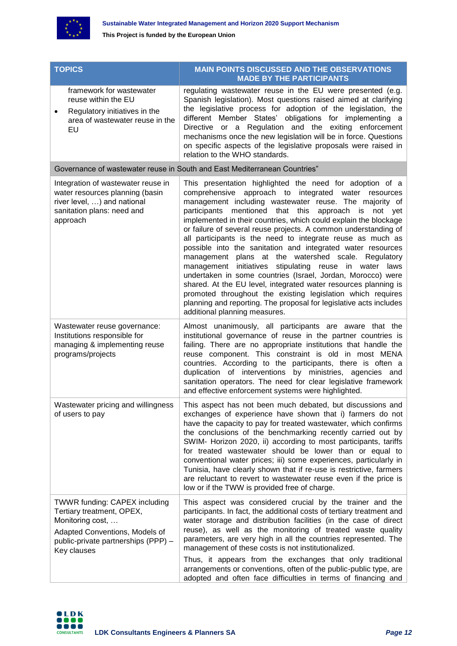

| <b>TOPICS</b>                                                                                                                                                                 | <b>MAIN POINTS DISCUSSED AND THE OBSERVATIONS</b><br><b>MADE BY THE PARTICIPANTS</b>                                                                                                                                                                                                                                                                                                                                                                                                                                                                                                                                                                                                                                                                                                                                                                                                                                                              |
|-------------------------------------------------------------------------------------------------------------------------------------------------------------------------------|---------------------------------------------------------------------------------------------------------------------------------------------------------------------------------------------------------------------------------------------------------------------------------------------------------------------------------------------------------------------------------------------------------------------------------------------------------------------------------------------------------------------------------------------------------------------------------------------------------------------------------------------------------------------------------------------------------------------------------------------------------------------------------------------------------------------------------------------------------------------------------------------------------------------------------------------------|
| framework for wastewater<br>reuse within the EU<br>Regulatory initiatives in the<br>$\bullet$<br>area of wastewater reuse in the<br>EU                                        | regulating wastewater reuse in the EU were presented (e.g.<br>Spanish legislation). Most questions raised aimed at clarifying<br>the legislative process for adoption of the legislation, the<br>different Member States' obligations for implementing a<br>Directive or a Regulation and the exiting enforcement<br>mechanisms once the new legislation will be in force. Questions<br>on specific aspects of the legislative proposals were raised in<br>relation to the WHO standards.                                                                                                                                                                                                                                                                                                                                                                                                                                                         |
|                                                                                                                                                                               | Governance of wastewater reuse in South and East Mediterranean Countries"                                                                                                                                                                                                                                                                                                                                                                                                                                                                                                                                                                                                                                                                                                                                                                                                                                                                         |
| Integration of wastewater reuse in<br>water resources planning (basin<br>river level, ) and national<br>sanitation plans: need and<br>approach                                | This presentation highlighted the need for adoption of a<br>comprehensive approach to integrated water resources<br>management including wastewater reuse. The majority of<br>mentioned that this<br>approach<br>participants<br>not yet<br>is<br>implemented in their countries, which could explain the blockage<br>or failure of several reuse projects. A common understanding of<br>all participants is the need to integrate reuse as much as<br>possible into the sanitation and integrated water resources<br>management plans at the watershed scale. Regulatory<br>management initiatives<br>stipulating reuse in water<br>laws<br>undertaken in some countries (Israel, Jordan, Morocco) were<br>shared. At the EU level, integrated water resources planning is<br>promoted throughout the existing legislation which requires<br>planning and reporting. The proposal for legislative acts includes<br>additional planning measures. |
| Wastewater reuse governance:<br>Institutions responsible for<br>managing & implementing reuse<br>programs/projects                                                            | Almost unanimously, all participants are aware that the<br>institutional governance of reuse in the partner countries is<br>failing. There are no appropriate institutions that handle the<br>reuse component. This constraint is old in most MENA<br>countries. According to the participants, there is often a<br>duplication of interventions by ministries, agencies and<br>sanitation operators. The need for clear legislative framework<br>and effective enforcement systems were highlighted.                                                                                                                                                                                                                                                                                                                                                                                                                                             |
| Wastewater pricing and willingness<br>of users to pay                                                                                                                         | This aspect has not been much debated, but discussions and<br>exchanges of experience have shown that i) farmers do not<br>have the capacity to pay for treated wastewater, which confirms<br>the conclusions of the benchmarking recently carried out by<br>SWIM- Horizon 2020, ii) according to most participants, tariffs<br>for treated wastewater should be lower than or equal to<br>conventional water prices; iii) some experiences, particularly in<br>Tunisia, have clearly shown that if re-use is restrictive, farmers<br>are reluctant to revert to wastewater reuse even if the price is<br>low or if the TWW is provided free of charge.                                                                                                                                                                                                                                                                                           |
| <b>TWWR funding: CAPEX including</b><br>Tertiary treatment, OPEX,<br>Monitoring cost,<br>Adapted Conventions, Models of<br>public-private partnerships (PPP) -<br>Key clauses | This aspect was considered crucial by the trainer and the<br>participants. In fact, the additional costs of tertiary treatment and<br>water storage and distribution facilities (in the case of direct<br>reuse), as well as the monitoring of treated waste quality<br>parameters, are very high in all the countries represented. The<br>management of these costs is not institutionalized.<br>Thus, it appears from the exchanges that only traditional<br>arrangements or conventions, often of the public-public type, are<br>adopted and often face difficulties in terms of financing and                                                                                                                                                                                                                                                                                                                                                 |

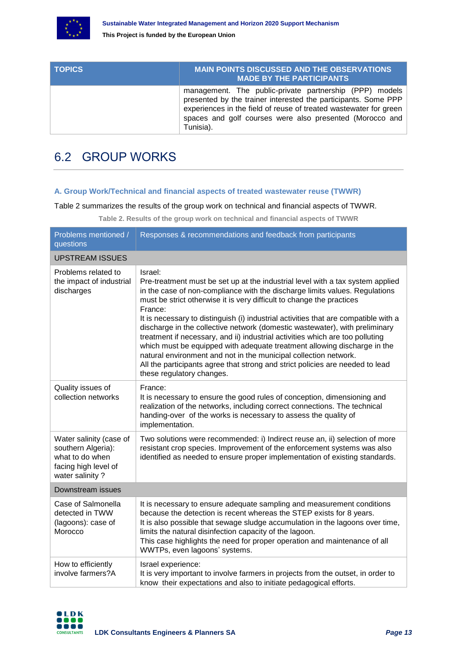

| <b>TOPICS</b> | <b>MAIN POINTS DISCUSSED AND THE OBSERVATIONS</b><br><b>MADE BY THE PARTICIPANTS</b>                                                                                                                                                                                    |
|---------------|-------------------------------------------------------------------------------------------------------------------------------------------------------------------------------------------------------------------------------------------------------------------------|
|               | management. The public-private partnership (PPP) models<br>presented by the trainer interested the participants. Some PPP<br>experiences in the field of reuse of treated wastewater for green<br>spaces and golf courses were also presented (Morocco and<br>Tunisia). |

### <span id="page-12-0"></span>6.2 GROUP WORKS

#### **A. Group Work/Technical and financial aspects of treated wastewater reuse (TWWR)**

<span id="page-12-1"></span>Table 2 summarizes the results of the group work on technical and financial aspects of TWWR.

**Table 2. Results of the group work on technical and financial aspects of TWWR**

| Problems mentioned /<br>questions                                                                           | Responses & recommendations and feedback from participants                                                                                                                                                                                                                                                                                                                                                                                                                                                                                                                                                                                                                                                                                                                        |  |
|-------------------------------------------------------------------------------------------------------------|-----------------------------------------------------------------------------------------------------------------------------------------------------------------------------------------------------------------------------------------------------------------------------------------------------------------------------------------------------------------------------------------------------------------------------------------------------------------------------------------------------------------------------------------------------------------------------------------------------------------------------------------------------------------------------------------------------------------------------------------------------------------------------------|--|
| <b>UPSTREAM ISSUES</b>                                                                                      |                                                                                                                                                                                                                                                                                                                                                                                                                                                                                                                                                                                                                                                                                                                                                                                   |  |
| Problems related to<br>the impact of industrial<br>discharges                                               | Israel:<br>Pre-treatment must be set up at the industrial level with a tax system applied<br>in the case of non-compliance with the discharge limits values. Regulations<br>must be strict otherwise it is very difficult to change the practices<br>France:<br>It is necessary to distinguish (i) industrial activities that are compatible with a<br>discharge in the collective network (domestic wastewater), with preliminary<br>treatment if necessary, and ii) industrial activities which are too polluting<br>which must be equipped with adequate treatment allowing discharge in the<br>natural environment and not in the municipal collection network.<br>All the participants agree that strong and strict policies are needed to lead<br>these regulatory changes. |  |
| Quality issues of<br>collection networks                                                                    | France:<br>It is necessary to ensure the good rules of conception, dimensioning and<br>realization of the networks, including correct connections. The technical<br>handing-over of the works is necessary to assess the quality of<br>implementation.                                                                                                                                                                                                                                                                                                                                                                                                                                                                                                                            |  |
| Water salinity (case of<br>southern Algeria):<br>what to do when<br>facing high level of<br>water salinity? | Two solutions were recommended: i) Indirect reuse an, ii) selection of more<br>resistant crop species. Improvement of the enforcement systems was also<br>identified as needed to ensure proper implementation of existing standards.                                                                                                                                                                                                                                                                                                                                                                                                                                                                                                                                             |  |
| Downstream issues                                                                                           |                                                                                                                                                                                                                                                                                                                                                                                                                                                                                                                                                                                                                                                                                                                                                                                   |  |
| Case of Salmonella<br>detected in TWW<br>(lagoons): case of<br>Morocco                                      | It is necessary to ensure adequate sampling and measurement conditions<br>because the detection is recent whereas the STEP exists for 8 years.<br>It is also possible that sewage sludge accumulation in the lagoons over time,<br>limits the natural disinfection capacity of the lagoon.<br>This case highlights the need for proper operation and maintenance of all<br>WWTPs, even lagoons' systems.                                                                                                                                                                                                                                                                                                                                                                          |  |
| How to efficiently<br>involve farmers?A                                                                     | Israel experience:<br>It is very important to involve farmers in projects from the outset, in order to<br>know their expectations and also to initiate pedagogical efforts.                                                                                                                                                                                                                                                                                                                                                                                                                                                                                                                                                                                                       |  |

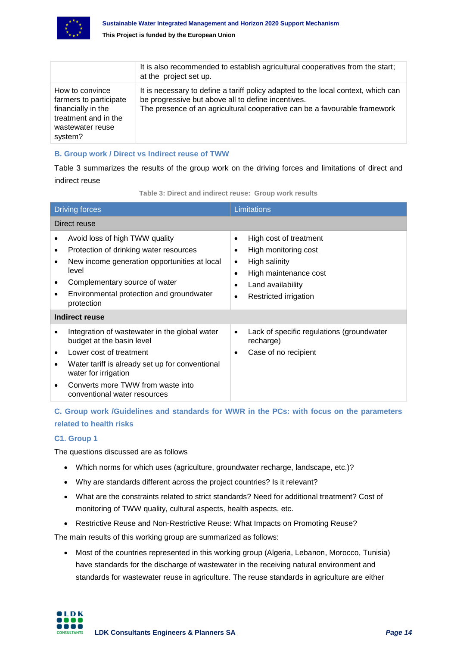

|                                                                                                                        | It is also recommended to establish agricultural cooperatives from the start;<br>at the project set up.                                                                                                              |
|------------------------------------------------------------------------------------------------------------------------|----------------------------------------------------------------------------------------------------------------------------------------------------------------------------------------------------------------------|
| How to convince<br>farmers to participate<br>financially in the<br>treatment and in the<br>wastewater reuse<br>system? | It is necessary to define a tariff policy adapted to the local context, which can<br>be progressive but above all to define incentives.<br>The presence of an agricultural cooperative can be a favourable framework |

#### **B. Group work / Direct vs Indirect reuse of TWW**

Table 3 summarizes the results of the group work on the driving forces and limitations of direct and indirect reuse

<span id="page-13-0"></span>

| <b>Driving forces</b>                                                                                                                                                                                                                                      | Limitations                                                                                                                                                                |  |
|------------------------------------------------------------------------------------------------------------------------------------------------------------------------------------------------------------------------------------------------------------|----------------------------------------------------------------------------------------------------------------------------------------------------------------------------|--|
| Direct reuse                                                                                                                                                                                                                                               |                                                                                                                                                                            |  |
| Avoid loss of high TWW quality<br>Protection of drinking water resources<br>٠<br>New income generation opportunities at local<br>level<br>Complementary source of water<br>Environmental protection and groundwater<br>٠<br>protection                     | High cost of treatment<br>$\bullet$<br>High monitoring cost<br>High salinity<br>٠<br>High maintenance cost<br>٠<br>Land availability<br>$\bullet$<br>Restricted irrigation |  |
| Indirect reuse                                                                                                                                                                                                                                             |                                                                                                                                                                            |  |
| Integration of wastewater in the global water<br>budget at the basin level<br>Lower cost of treatment<br>٠<br>Water tariff is already set up for conventional<br>water for irrigation<br>Converts more TWW from waste into<br>conventional water resources | Lack of specific regulations (groundwater<br>recharge)<br>Case of no recipient<br>٠                                                                                        |  |

**C. Group work /Guidelines and standards for WWR in the PCs: with focus on the parameters related to health risks** 

#### **C1. Group 1**

The questions discussed are as follows

- Which norms for which uses (agriculture, groundwater recharge, landscape, etc.)?
- Why are standards different across the project countries? Is it relevant?
- What are the constraints related to strict standards? Need for additional treatment? Cost of monitoring of TWW quality, cultural aspects, health aspects, etc.
- Restrictive Reuse and Non-Restrictive Reuse: What Impacts on Promoting Reuse?

The main results of this working group are summarized as follows:

• Most of the countries represented in this working group (Algeria, Lebanon, Morocco, Tunisia) have standards for the discharge of wastewater in the receiving natural environment and standards for wastewater reuse in agriculture. The reuse standards in agriculture are either

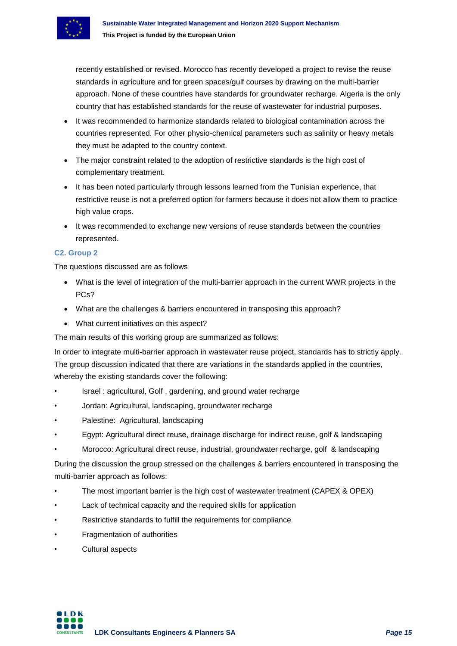

recently established or revised. Morocco has recently developed a project to revise the reuse standards in agriculture and for green spaces/gulf courses by drawing on the multi-barrier approach. None of these countries have standards for groundwater recharge. Algeria is the only country that has established standards for the reuse of wastewater for industrial purposes.

- It was recommended to harmonize standards related to biological contamination across the countries represented. For other physio-chemical parameters such as salinity or heavy metals they must be adapted to the country context.
- The major constraint related to the adoption of restrictive standards is the high cost of complementary treatment.
- It has been noted particularly through lessons learned from the Tunisian experience, that restrictive reuse is not a preferred option for farmers because it does not allow them to practice high value crops.
- It was recommended to exchange new versions of reuse standards between the countries represented.

#### **C2. Group 2**

The questions discussed are as follows

- What is the level of integration of the multi-barrier approach in the current WWR projects in the PCs?
- What are the challenges & barriers encountered in transposing this approach?
- What current initiatives on this aspect?

The main results of this working group are summarized as follows:

In order to integrate multi-barrier approach in wastewater reuse project, standards has to strictly apply. The group discussion indicated that there are variations in the standards applied in the countries, whereby the existing standards cover the following:

- Israel : agricultural, Golf , gardening, and ground water recharge
- Jordan: Agricultural, landscaping, groundwater recharge
- Palestine: Agricultural, landscaping
- Egypt: Agricultural direct reuse, drainage discharge for indirect reuse, golf & landscaping
- Morocco: Agricultural direct reuse, industrial, groundwater recharge, golf & landscaping

During the discussion the group stressed on the challenges & barriers encountered in transposing the multi-barrier approach as follows:

- The most important barrier is the high cost of wastewater treatment (CAPEX & OPEX)
- Lack of technical capacity and the required skills for application
- Restrictive standards to fulfill the requirements for compliance
- Fragmentation of authorities
- Cultural aspects

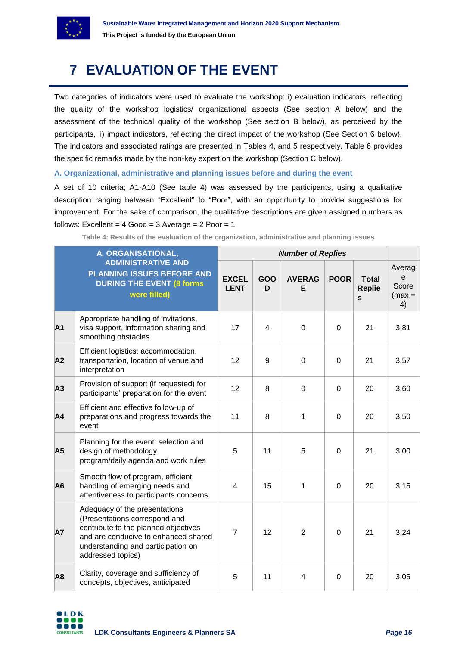

## <span id="page-15-0"></span>**7 EVALUATION OF THE EVENT**

Two categories of indicators were used to evaluate the workshop: i) evaluation indicators, reflecting the quality of the workshop logistics/ organizational aspects (See section A below) and the assessment of the technical quality of the workshop (See section B below), as perceived by the participants, ii) impact indicators, reflecting the direct impact of the workshop (See Section 6 below). The indicators and associated ratings are presented in Tables 4, and 5 respectively. Table 6 provides the specific remarks made by the non-key expert on the workshop (Section C below).

**A. Organizational, administrative and planning issues before and during the event**

A set of 10 criteria; A1-A10 (See table 4) was assessed by the participants, using a qualitative description ranging between "Excellent" to "Poor", with an opportunity to provide suggestions for improvement. For the sake of comparison, the qualitative descriptions are given assigned numbers as follows: Excellent =  $4$  Good =  $3$  Average =  $2$  Poor =  $1$ 

| Table 4: Results of the evaluation of the organization, administrative and planning issues |  |  |  |
|--------------------------------------------------------------------------------------------|--|--|--|
|--------------------------------------------------------------------------------------------|--|--|--|

<span id="page-15-1"></span>

|                | A. ORGANISATIONAL,<br><b>Number of Replies</b>                                                                                                                                                            |                             |                |                    |             |                                               |                                                  |
|----------------|-----------------------------------------------------------------------------------------------------------------------------------------------------------------------------------------------------------|-----------------------------|----------------|--------------------|-------------|-----------------------------------------------|--------------------------------------------------|
|                | <b>ADMINISTRATIVE AND</b><br><b>PLANNING ISSUES BEFORE AND</b><br><b>DURING THE EVENT (8 forms)</b><br>were filled)                                                                                       | <b>EXCEL</b><br><b>LENT</b> | GOO<br>D       | <b>AVERAG</b><br>Е | <b>POOR</b> | <b>Total</b><br><b>Replie</b><br>$\mathbf{s}$ | Averag<br>$\mathbf e$<br>Score<br>$(max =$<br>4) |
| A <sub>1</sub> | Appropriate handling of invitations,<br>visa support, information sharing and<br>smoothing obstacles                                                                                                      | 17                          | $\overline{4}$ | $\overline{0}$     | $\Omega$    | 21                                            | 3,81                                             |
| A2             | Efficient logistics: accommodation,<br>transportation, location of venue and<br>interpretation                                                                                                            | 12                          | 9              | $\mathbf 0$        | 0           | 21                                            | 3,57                                             |
| A3             | Provision of support (if requested) for<br>participants' preparation for the event                                                                                                                        | 12                          | 8              | $\mathbf 0$        | 0           | 20                                            | 3,60                                             |
| A4             | Efficient and effective follow-up of<br>preparations and progress towards the<br>event                                                                                                                    | 11                          | 8              | 1                  | $\mathbf 0$ | 20                                            | 3,50                                             |
| A5             | Planning for the event: selection and<br>design of methodology,<br>program/daily agenda and work rules                                                                                                    | 5                           | 11             | 5                  | $\mathbf 0$ | 21                                            | 3,00                                             |
| A <sub>6</sub> | Smooth flow of program, efficient<br>handling of emerging needs and<br>attentiveness to participants concerns                                                                                             | $\overline{4}$              | 15             | 1                  | $\mathbf 0$ | 20                                            | 3,15                                             |
| <b>A7</b>      | Adequacy of the presentations<br>(Presentations correspond and<br>contribute to the planned objectives<br>and are conducive to enhanced shared<br>understanding and participation on<br>addressed topics) | $\overline{7}$              | 12             | $\overline{2}$     | $\Omega$    | 21                                            | 3,24                                             |
| A <sub>8</sub> | Clarity, coverage and sufficiency of<br>concepts, objectives, anticipated                                                                                                                                 | 5                           | 11             | 4                  | $\Omega$    | 20                                            | 3,05                                             |

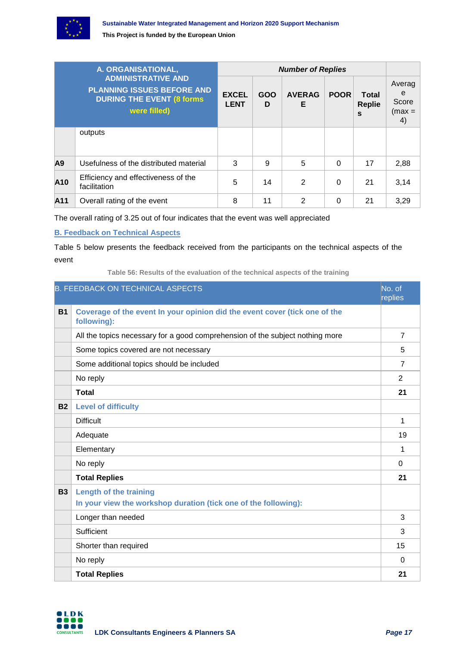

| A. ORGANISATIONAL,<br><b>ADMINISTRATIVE AND</b><br><b>PLANNING ISSUES BEFORE AND</b><br><b>DURING THE EVENT (8 forms)</b><br>were filled) |                                                     | <b>Number of Replies</b>    |          |                    |             |                                        |                                        |
|-------------------------------------------------------------------------------------------------------------------------------------------|-----------------------------------------------------|-----------------------------|----------|--------------------|-------------|----------------------------------------|----------------------------------------|
|                                                                                                                                           |                                                     | <b>EXCEL</b><br><b>LENT</b> | GOO<br>D | <b>AVERAG</b><br>Е | <b>POOR</b> | Total<br><b>Replie</b><br>$\mathbf{s}$ | Averag<br>e<br>Score<br>$(max =$<br>4) |
|                                                                                                                                           | outputs                                             |                             |          |                    |             |                                        |                                        |
| A9                                                                                                                                        | Usefulness of the distributed material              | 3                           | 9        | 5                  | $\Omega$    | 17                                     | 2,88                                   |
| A10                                                                                                                                       | Efficiency and effectiveness of the<br>facilitation | 5                           | 14       | $\mathcal{P}$      | $\Omega$    | 21                                     | 3,14                                   |
| A11                                                                                                                                       | Overall rating of the event                         | 8                           | 11       | 2                  | 0           | 21                                     | 3,29                                   |

The overall rating of 3.25 out of four indicates that the event was well appreciated

#### **B. Feedback on Technical Aspects**

Table 5 below presents the feedback received from the participants on the technical aspects of the event

**Table 56: Results of the evaluation of the technical aspects of the training**

<span id="page-16-0"></span>

|           | <b>B. FEEDBACK ON TECHNICAL ASPECTS</b>                                                   | No. of<br>replies |
|-----------|-------------------------------------------------------------------------------------------|-------------------|
| <b>B1</b> | Coverage of the event In your opinion did the event cover (tick one of the<br>following): |                   |
|           | All the topics necessary for a good comprehension of the subject nothing more             | $\overline{7}$    |
|           | Some topics covered are not necessary                                                     | 5                 |
|           | Some additional topics should be included                                                 | $\overline{7}$    |
|           | No reply                                                                                  | $\overline{2}$    |
|           | <b>Total</b>                                                                              | 21                |
| <b>B2</b> | <b>Level of difficulty</b>                                                                |                   |
|           | <b>Difficult</b>                                                                          | 1                 |
|           | Adequate                                                                                  | 19                |
|           | Elementary                                                                                | 1                 |
|           | No reply                                                                                  | $\Omega$          |
|           | <b>Total Replies</b>                                                                      | 21                |
| <b>B3</b> | <b>Length of the training</b>                                                             |                   |
|           | In your view the workshop duration (tick one of the following):                           |                   |
|           | Longer than needed                                                                        | 3                 |
|           | Sufficient                                                                                | 3                 |
|           | Shorter than required                                                                     | 15                |
|           | No reply                                                                                  | $\Omega$          |
|           | <b>Total Replies</b>                                                                      | 21                |

LDK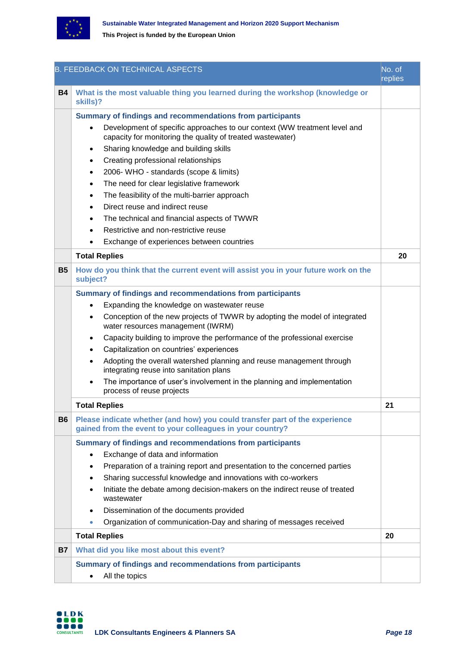

|           | <b>B. FEEDBACK ON TECHNICAL ASPECTS</b>                                                                                                  | No. of<br>replies |
|-----------|------------------------------------------------------------------------------------------------------------------------------------------|-------------------|
| <b>B4</b> | What is the most valuable thing you learned during the workshop (knowledge or<br>skills)?                                                |                   |
|           | Summary of findings and recommendations from participants                                                                                |                   |
|           | Development of specific approaches to our context (WW treatment level and<br>capacity for monitoring the quality of treated wastewater)  |                   |
|           | Sharing knowledge and building skills<br>٠                                                                                               |                   |
|           | Creating professional relationships<br>٠                                                                                                 |                   |
|           | 2006- WHO - standards (scope & limits)<br>$\bullet$                                                                                      |                   |
|           | The need for clear legislative framework<br>$\bullet$                                                                                    |                   |
|           | The feasibility of the multi-barrier approach<br>$\bullet$                                                                               |                   |
|           | Direct reuse and indirect reuse<br>$\bullet$                                                                                             |                   |
|           | The technical and financial aspects of TWWR<br>٠                                                                                         |                   |
|           | Restrictive and non-restrictive reuse                                                                                                    |                   |
|           | Exchange of experiences between countries                                                                                                |                   |
|           | <b>Total Replies</b>                                                                                                                     | 20                |
| <b>B5</b> | How do you think that the current event will assist you in your future work on the<br>subject?                                           |                   |
|           | Summary of findings and recommendations from participants                                                                                |                   |
|           | Expanding the knowledge on wastewater reuse                                                                                              |                   |
|           | Conception of the new projects of TWWR by adopting the model of integrated<br>٠<br>water resources management (IWRM)                     |                   |
|           | Capacity building to improve the performance of the professional exercise<br>٠                                                           |                   |
|           | Capitalization on countries' experiences<br>٠                                                                                            |                   |
|           | Adopting the overall watershed planning and reuse management through<br>$\bullet$<br>integrating reuse into sanitation plans             |                   |
|           | The importance of user's involvement in the planning and implementation<br>process of reuse projects                                     |                   |
|           | <b>Total Replies</b>                                                                                                                     | 21                |
| <b>B6</b> | Please indicate whether (and how) you could transfer part of the experience<br>gained from the event to your colleagues in your country? |                   |
|           | Summary of findings and recommendations from participants                                                                                |                   |
|           | Exchange of data and information<br>$\bullet$                                                                                            |                   |
|           | Preparation of a training report and presentation to the concerned parties<br>٠                                                          |                   |
|           | Sharing successful knowledge and innovations with co-workers<br>٠                                                                        |                   |
|           | Initiate the debate among decision-makers on the indirect reuse of treated<br>٠<br>wastewater                                            |                   |
|           | Dissemination of the documents provided<br>٠                                                                                             |                   |
|           | Organization of communication-Day and sharing of messages received<br>$\bullet$                                                          |                   |
|           | <b>Total Replies</b>                                                                                                                     | 20                |
| <b>B7</b> | What did you like most about this event?                                                                                                 |                   |
|           | Summary of findings and recommendations from participants                                                                                |                   |
|           | All the topics<br>٠                                                                                                                      |                   |
|           |                                                                                                                                          |                   |

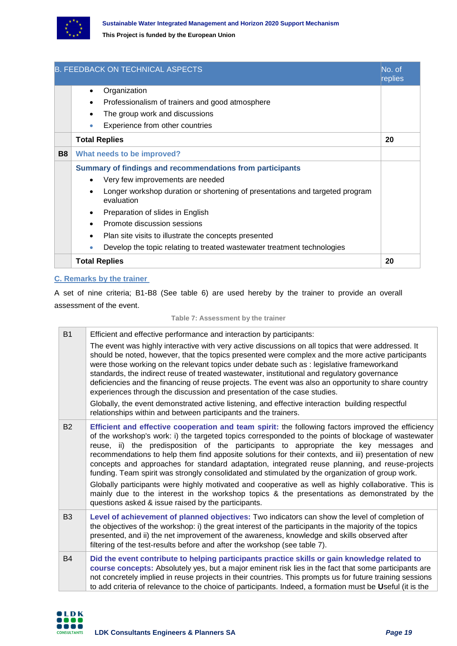

|           | <b>B. FEEDBACK ON TECHNICAL ASPECTS</b>                                                    | No. of<br>replies |
|-----------|--------------------------------------------------------------------------------------------|-------------------|
|           | Organization<br>$\bullet$                                                                  |                   |
|           | Professionalism of trainers and good atmosphere                                            |                   |
|           | The group work and discussions                                                             |                   |
|           | Experience from other countries                                                            |                   |
|           | <b>Total Replies</b>                                                                       | 20                |
| <b>B8</b> | What needs to be improved?                                                                 |                   |
|           | Summary of findings and recommendations from participants                                  |                   |
|           | Very few improvements are needed                                                           |                   |
|           | Longer workshop duration or shortening of presentations and targeted program<br>evaluation |                   |
|           | Preparation of slides in English                                                           |                   |
|           | Promote discussion sessions                                                                |                   |
|           | Plan site visits to illustrate the concepts presented                                      |                   |
|           | Develop the topic relating to treated wastewater treatment technologies<br>$\bullet$       |                   |
|           | <b>Total Replies</b>                                                                       | 20                |

#### **C. Remarks by the trainer**

A set of nine criteria; B1-B8 (See table 6) are used hereby by the trainer to provide an overall assessment of the event.

#### **Table 7: Assessment by the trainer**

| <b>B1</b> | Efficient and effective performance and interaction by participants:<br>The event was highly interactive with very active discussions on all topics that were addressed. It<br>should be noted, however, that the topics presented were complex and the more active participants<br>were those working on the relevant topics under debate such as : legislative frameworkand<br>standards, the indirect reuse of treated wastewater, institutional and regulatory governance<br>deficiencies and the financing of reuse projects. The event was also an opportunity to share country<br>experiences through the discussion and presentation of the case studies.<br>Globally, the event demonstrated active listening, and effective interaction building respectful<br>relationships within and between participants and the trainers.                                         |
|-----------|----------------------------------------------------------------------------------------------------------------------------------------------------------------------------------------------------------------------------------------------------------------------------------------------------------------------------------------------------------------------------------------------------------------------------------------------------------------------------------------------------------------------------------------------------------------------------------------------------------------------------------------------------------------------------------------------------------------------------------------------------------------------------------------------------------------------------------------------------------------------------------|
| <b>B2</b> | Efficient and effective cooperation and team spirit: the following factors improved the efficiency<br>of the workshop's work: i) the targeted topics corresponded to the points of blockage of wastewater<br>reuse, ii) the predisposition of the participants to appropriate the key messages and<br>recommendations to help them find apposite solutions for their contexts, and iii) presentation of new<br>concepts and approaches for standard adaptation, integrated reuse planning, and reuse-projects<br>funding. Team spirit was strongly consolidated and stimulated by the organization of group work.<br>Globally participants were highly motivated and cooperative as well as highly collaborative. This is<br>mainly due to the interest in the workshop topics & the presentations as demonstrated by the<br>questions asked & issue raised by the participants. |
| <b>B3</b> | Level of achievement of planned objectives: Two indicators can show the level of completion of<br>the objectives of the workshop: i) the great interest of the participants in the majority of the topics<br>presented, and ii) the net improvement of the awareness, knowledge and skills observed after<br>filtering of the test-results before and after the workshop (see table 7).                                                                                                                                                                                                                                                                                                                                                                                                                                                                                          |
| <b>B4</b> | Did the event contribute to helping participants practice skills or gain knowledge related to<br>course concepts: Absolutely yes, but a major eminent risk lies in the fact that some participants are<br>not concretely implied in reuse projects in their countries. This prompts us for future training sessions<br>to add criteria of relevance to the choice of participants. Indeed, a formation must be Useful (it is the                                                                                                                                                                                                                                                                                                                                                                                                                                                 |

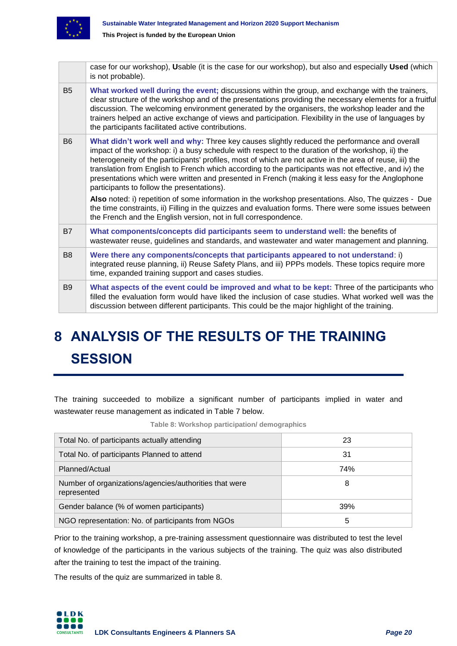

|                | case for our workshop), Usable (it is the case for our workshop), but also and especially Used (which<br>is not probable).                                                                                                                                                                                                                                                                                                                                                                                                                                                                                                                                                                                                                                                               |
|----------------|------------------------------------------------------------------------------------------------------------------------------------------------------------------------------------------------------------------------------------------------------------------------------------------------------------------------------------------------------------------------------------------------------------------------------------------------------------------------------------------------------------------------------------------------------------------------------------------------------------------------------------------------------------------------------------------------------------------------------------------------------------------------------------------|
| B <sub>5</sub> | What worked well during the event; discussions within the group, and exchange with the trainers,<br>clear structure of the workshop and of the presentations providing the necessary elements for a fruitful<br>discussion. The welcoming environment generated by the organisers, the workshop leader and the<br>trainers helped an active exchange of views and participation. Flexibility in the use of languages by<br>the participants facilitated active contributions.                                                                                                                                                                                                                                                                                                            |
| B <sub>6</sub> | What didn't work well and why: Three key causes slightly reduced the performance and overall<br>impact of the workshop: i) a busy schedule with respect to the duration of the workshop, ii) the<br>heterogeneity of the participants' profiles, most of which are not active in the area of reuse, iii) the<br>translation from English to French which according to the participants was not effective, and iv) the<br>presentations which were written and presented in French (making it less easy for the Anglophone<br>participants to follow the presentations).<br>Also noted: i) repetition of some information in the workshop presentations. Also, The quizzes - Due<br>the time constraints, ii) Filling in the quizzes and evaluation forms. There were some issues between |
|                | the French and the English version, not in full correspondence.                                                                                                                                                                                                                                                                                                                                                                                                                                                                                                                                                                                                                                                                                                                          |
| <b>B7</b>      | What components/concepts did participants seem to understand well: the benefits of<br>wastewater reuse, guidelines and standards, and wastewater and water management and planning.                                                                                                                                                                                                                                                                                                                                                                                                                                                                                                                                                                                                      |
| B <sub>8</sub> | Were there any components/concepts that participants appeared to not understand: i)<br>integrated reuse planning, ii) Reuse Safety Plans, and iii) PPPs models. These topics require more<br>time, expanded training support and cases studies.                                                                                                                                                                                                                                                                                                                                                                                                                                                                                                                                          |
| B <sub>9</sub> | What aspects of the event could be improved and what to be kept: Three of the participants who<br>filled the evaluation form would have liked the inclusion of case studies. What worked well was the<br>discussion between different participants. This could be the major highlight of the training.                                                                                                                                                                                                                                                                                                                                                                                                                                                                                   |

# <span id="page-19-0"></span>**8 ANALYSIS OF THE RESULTS OF THE TRAINING SESSION**

The training succeeded to mobilize a significant number of participants implied in water and wastewater reuse management as indicated in Table 7 below.

<span id="page-19-1"></span>

| Total No. of participants actually attending                          | 23  |
|-----------------------------------------------------------------------|-----|
| Total No. of participants Planned to attend                           | 31  |
| Planned/Actual                                                        | 74% |
| Number of organizations/agencies/authorities that were<br>represented | 8   |
| Gender balance (% of women participants)                              | 39% |
| NGO representation: No. of participants from NGOs                     | 5   |

**Table 8: Workshop participation/ demographics**

Prior to the training workshop, a pre-training assessment questionnaire was distributed to test the level of knowledge of the participants in the various subjects of the training. The quiz was also distributed after the training to test the impact of the training.

The results of the quiz are summarized in table 8.

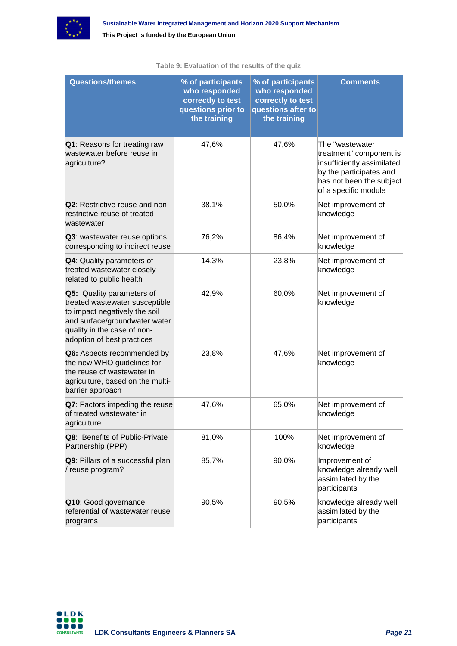

<span id="page-20-0"></span>

| <b>Questions/themes</b>                                                                                                                                                                           | % of participants<br>who responded<br>correctly to test<br>questions prior to<br>the training | % of participants<br>who responded<br>correctly to test<br>questions after to<br>the training | <b>Comments</b>                                                                                                                                         |
|---------------------------------------------------------------------------------------------------------------------------------------------------------------------------------------------------|-----------------------------------------------------------------------------------------------|-----------------------------------------------------------------------------------------------|---------------------------------------------------------------------------------------------------------------------------------------------------------|
| Q1: Reasons for treating raw<br>wastewater before reuse in<br>agriculture?                                                                                                                        | 47,6%                                                                                         | 47,6%                                                                                         | The "wastewater<br>treatment" component is<br>insufficiently assimilated<br>by the participates and<br>has not been the subject<br>of a specific module |
| Q2: Restrictive reuse and non-<br>restrictive reuse of treated<br>wastewater                                                                                                                      | 38,1%                                                                                         | 50,0%                                                                                         | Net improvement of<br>knowledge                                                                                                                         |
| Q3: wastewater reuse options<br>corresponding to indirect reuse                                                                                                                                   | 76,2%                                                                                         | 86,4%                                                                                         | Net improvement of<br>knowledge                                                                                                                         |
| <b>Q4: Quality parameters of</b><br>treated wastewater closely<br>related to public health                                                                                                        | 14,3%                                                                                         | 23,8%                                                                                         | Net improvement of<br>knowledge                                                                                                                         |
| <b>Q5:</b> Quality parameters of<br>treated wastewater susceptible<br>to impact negatively the soil<br>and surface/groundwater water<br>quality in the case of non-<br>adoption of best practices | 42,9%                                                                                         | 60,0%                                                                                         | Net improvement of<br>knowledge                                                                                                                         |
| Q6: Aspects recommended by<br>the new WHO guidelines for<br>the reuse of wastewater in<br>agriculture, based on the multi-<br>barrier approach                                                    | 23,8%                                                                                         | 47,6%                                                                                         | Net improvement of<br>knowledge                                                                                                                         |
| Q7: Factors impeding the reuse<br>of treated wastewater in<br>agriculture                                                                                                                         | 47,6%                                                                                         | 65,0%                                                                                         | Net improvement of<br>knowledge                                                                                                                         |
| <b>Q8: Benefits of Public-Private</b><br>Partnership (PPP)                                                                                                                                        | 81,0%                                                                                         | 100%                                                                                          | Net improvement of<br>knowledge                                                                                                                         |
| Q9: Pillars of a successful plan<br>/ reuse program?                                                                                                                                              | 85,7%                                                                                         | 90,0%                                                                                         | Improvement of<br>knowledge already well<br>assimilated by the<br>participants                                                                          |
| Q10: Good governance<br>referential of wastewater reuse<br>programs                                                                                                                               | 90,5%                                                                                         | 90,5%                                                                                         | knowledge already well<br>assimilated by the<br>participants                                                                                            |

#### **Table 9: Evaluation of the results of the quiz**

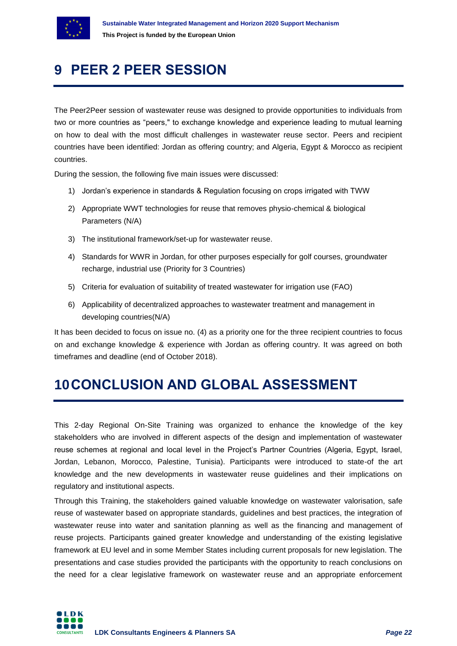

## <span id="page-21-0"></span>**9 PEER 2 PEER SESSION**

The Peer2Peer session of wastewater reuse was designed to provide opportunities to individuals from two or more countries as "peers," to exchange knowledge and experience leading to mutual learning on how to deal with the most difficult challenges in wastewater reuse sector. Peers and recipient countries have been identified: Jordan as offering country; and Algeria, Egypt & Morocco as recipient countries.

During the session, the following five main issues were discussed:

- 1) Jordan's experience in standards & Regulation focusing on crops irrigated with TWW
- 2) Appropriate WWT technologies for reuse that removes physio-chemical & biological Parameters (N/A)
- 3) The institutional framework/set-up for wastewater reuse.
- 4) Standards for WWR in Jordan, for other purposes especially for golf courses, groundwater recharge, industrial use (Priority for 3 Countries)
- 5) Criteria for evaluation of suitability of treated wastewater for irrigation use (FAO)
- 6) Applicability of decentralized approaches to wastewater treatment and management in developing countries(N/A)

It has been decided to focus on issue no. (4) as a priority one for the three recipient countries to focus on and exchange knowledge & experience with Jordan as offering country. It was agreed on both timeframes and deadline (end of October 2018).

## <span id="page-21-1"></span>**10CONCLUSION AND GLOBAL ASSESSMENT**

This 2-day Regional On-Site Training was organized to enhance the knowledge of the key stakeholders who are involved in different aspects of the design and implementation of wastewater reuse schemes at regional and local level in the Project's Partner Countries (Algeria, Egypt, Israel, Jordan, Lebanon, Morocco, Palestine, Tunisia). Participants were introduced to state-of the art knowledge and the new developments in wastewater reuse guidelines and their implications on regulatory and institutional aspects.

Through this Training, the stakeholders gained valuable knowledge on wastewater valorisation, safe reuse of wastewater based on appropriate standards, guidelines and best practices, the integration of wastewater reuse into water and sanitation planning as well as the financing and management of reuse projects. Participants gained greater knowledge and understanding of the existing legislative framework at EU level and in some Member States including current proposals for new legislation. The presentations and case studies provided the participants with the opportunity to reach conclusions on the need for a clear legislative framework on wastewater reuse and an appropriate enforcement

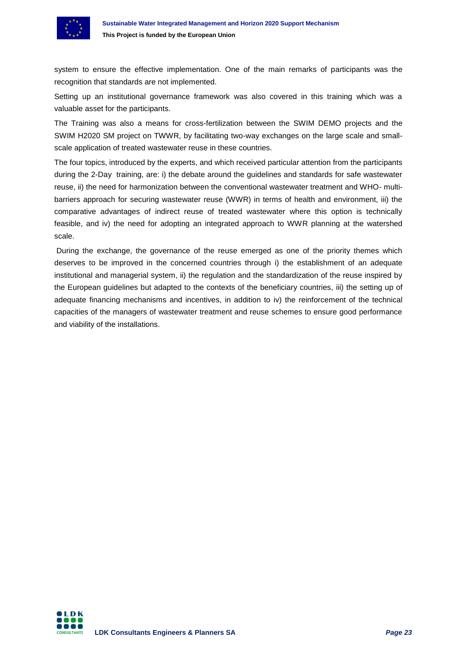

system to ensure the effective implementation. One of the main remarks of participants was the recognition that standards are not implemented.

Setting up an institutional governance framework was also covered in this training which was a valuable asset for the participants.

The Training was also a means for cross-fertilization between the SWIM DEMO projects and the SWIM H2020 SM project on TWWR, by facilitating two-way exchanges on the large scale and smallscale application of treated wastewater reuse in these countries.

The four topics, introduced by the experts, and which received particular attention from the participants during the 2-Day training, are: i) the debate around the guidelines and standards for safe wastewater reuse, ii) the need for harmonization between the conventional wastewater treatment and WHO- multibarriers approach for securing wastewater reuse (WWR) in terms of health and environment, iii) the comparative advantages of indirect reuse of treated wastewater where this option is technically feasible, and iv) the need for adopting an integrated approach to WWR planning at the watershed scale.

During the exchange, the governance of the reuse emerged as one of the priority themes which deserves to be improved in the concerned countries through i) the establishment of an adequate institutional and managerial system, ii) the regulation and the standardization of the reuse inspired by the European guidelines but adapted to the contexts of the beneficiary countries, iii) the setting up of adequate financing mechanisms and incentives, in addition to iv) the reinforcement of the technical capacities of the managers of wastewater treatment and reuse schemes to ensure good performance and viability of the installations.

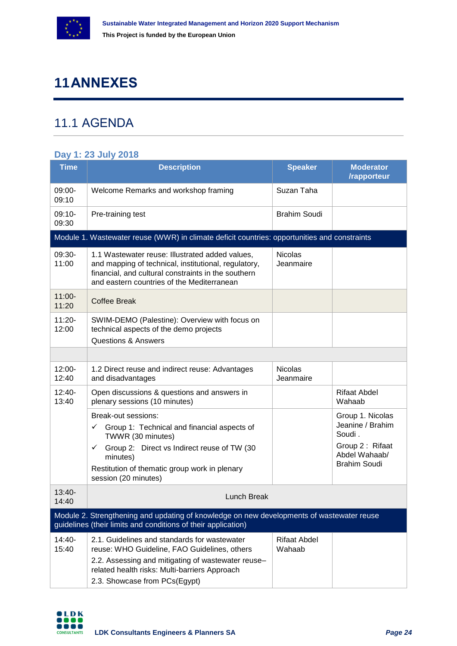

## <span id="page-23-0"></span>**11ANNEXES**

### <span id="page-23-1"></span>11.1 AGENDA

#### **Day 1: 23 July 2018**

| <b>Time</b>        | <b>Description</b>                                                                                                                                                                                                                                       | <b>Speaker</b>                | <b>Moderator</b><br>/rapporteur                                                                           |
|--------------------|----------------------------------------------------------------------------------------------------------------------------------------------------------------------------------------------------------------------------------------------------------|-------------------------------|-----------------------------------------------------------------------------------------------------------|
| 09:00-<br>09:10    | Welcome Remarks and workshop framing                                                                                                                                                                                                                     | Suzan Taha                    |                                                                                                           |
| $09:10-$<br>09:30  | Pre-training test                                                                                                                                                                                                                                        | <b>Brahim Soudi</b>           |                                                                                                           |
|                    | Module 1. Wastewater reuse (WWR) in climate deficit countries: opportunities and constraints                                                                                                                                                             |                               |                                                                                                           |
| 09:30-<br>11:00    | 1.1 Wastewater reuse: Illustrated added values,<br>and mapping of technical, institutional, regulatory,<br>financial, and cultural constraints in the southern<br>and eastern countries of the Mediterranean                                             | <b>Nicolas</b><br>Jeanmaire   |                                                                                                           |
| 11:00-<br>11:20    | <b>Coffee Break</b>                                                                                                                                                                                                                                      |                               |                                                                                                           |
| $11:20 -$<br>12:00 | SWIM-DEMO (Palestine): Overview with focus on<br>technical aspects of the demo projects<br><b>Questions &amp; Answers</b>                                                                                                                                |                               |                                                                                                           |
|                    |                                                                                                                                                                                                                                                          |                               |                                                                                                           |
| $12:00 -$<br>12:40 | 1.2 Direct reuse and indirect reuse: Advantages<br>and disadvantages                                                                                                                                                                                     | <b>Nicolas</b><br>Jeanmaire   |                                                                                                           |
| $12:40-$<br>13:40  | Open discussions & questions and answers in<br>plenary sessions (10 minutes)                                                                                                                                                                             |                               | <b>Rifaat Abdel</b><br>Wahaab                                                                             |
|                    | Break-out sessions:<br>$\checkmark$ Group 1: Technical and financial aspects of<br>TWWR (30 minutes)<br>Group 2: Direct vs Indirect reuse of TW (30<br>$\checkmark$<br>minutes)<br>Restitution of thematic group work in plenary<br>session (20 minutes) |                               | Group 1. Nicolas<br>Jeanine / Brahim<br>Soudi.<br>Group 2: Rifaat<br>Abdel Wahaab/<br><b>Brahim Soudi</b> |
| $13:40-$<br>14:40  | Lunch Break                                                                                                                                                                                                                                              |                               |                                                                                                           |
|                    | Module 2. Strengthening and updating of knowledge on new developments of wastewater reuse<br>guidelines (their limits and conditions of their application)                                                                                               |                               |                                                                                                           |
| 14:40-<br>15:40    | 2.1. Guidelines and standards for wastewater<br>reuse: WHO Guideline, FAO Guidelines, others<br>2.2. Assessing and mitigating of wastewater reuse-<br>related health risks: Multi-barriers Approach<br>2.3. Showcase from PCs(Egypt)                     | <b>Rifaat Abdel</b><br>Wahaab |                                                                                                           |

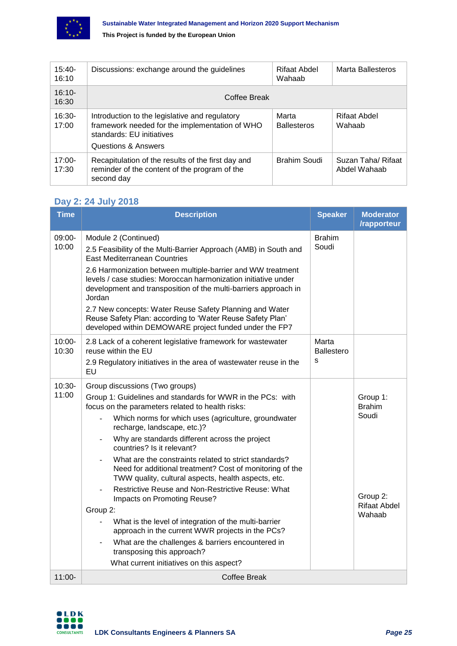

| $15:40-$<br>16:10 | Discussions: exchange around the guidelines                                                                                                          | Rifaat Abdel<br>Wahaab      | Marta Ballesteros                  |
|-------------------|------------------------------------------------------------------------------------------------------------------------------------------------------|-----------------------------|------------------------------------|
| $16:10-$<br>16:30 | Coffee Break                                                                                                                                         |                             |                                    |
| $16:30-$<br>17:00 | Introduction to the legislative and regulatory<br>framework needed for the implementation of WHO<br>standards: EU initiatives<br>Questions & Answers | Marta<br><b>Ballesteros</b> | Rifaat Abdel<br>Wahaab             |
| $17:00-$<br>17:30 | Recapitulation of the results of the first day and<br>reminder of the content of the program of the<br>second day                                    | Brahim Soudi                | Suzan Taha/ Rifaat<br>Abdel Wahaab |

#### **Day 2: 24 July 2018**

| <b>Time</b>     | <b>Description</b>                                                                                                                                                                                                                                                                                                                                                                                                                                                                                                                                                                                                                                                                                                                                                                                                                              | <b>Speaker</b>                  | <b>Moderator</b><br>/rapporteur                                                 |
|-----------------|-------------------------------------------------------------------------------------------------------------------------------------------------------------------------------------------------------------------------------------------------------------------------------------------------------------------------------------------------------------------------------------------------------------------------------------------------------------------------------------------------------------------------------------------------------------------------------------------------------------------------------------------------------------------------------------------------------------------------------------------------------------------------------------------------------------------------------------------------|---------------------------------|---------------------------------------------------------------------------------|
| 09:00-<br>10:00 | Module 2 (Continued)<br>2.5 Feasibility of the Multi-Barrier Approach (AMB) in South and<br><b>East Mediterranean Countries</b><br>2.6 Harmonization between multiple-barrier and WW treatment<br>levels / case studies: Moroccan harmonization initiative under<br>development and transposition of the multi-barriers approach in<br>Jordan<br>2.7 New concepts: Water Reuse Safety Planning and Water<br>Reuse Safety Plan: according to 'Water Reuse Safety Plan'<br>developed within DEMOWARE project funded under the FP7                                                                                                                                                                                                                                                                                                                 |                                 |                                                                                 |
| 10:00-<br>10:30 | 2.8 Lack of a coherent legislative framework for wastewater<br>reuse within the EU<br>2.9 Regulatory initiatives in the area of wastewater reuse in the<br>EU                                                                                                                                                                                                                                                                                                                                                                                                                                                                                                                                                                                                                                                                                   | Marta<br><b>Ballestero</b><br>s |                                                                                 |
| 10:30-<br>11:00 | Group discussions (Two groups)<br>Group 1: Guidelines and standards for WWR in the PCs: with<br>focus on the parameters related to health risks:<br>Which norms for which uses (agriculture, groundwater<br>recharge, landscape, etc.)?<br>Why are standards different across the project<br>countries? Is it relevant?<br>What are the constraints related to strict standards?<br>Need for additional treatment? Cost of monitoring of the<br>TWW quality, cultural aspects, health aspects, etc.<br>Restrictive Reuse and Non-Restrictive Reuse: What<br>Impacts on Promoting Reuse?<br>Group 2:<br>What is the level of integration of the multi-barrier<br>approach in the current WWR projects in the PCs?<br>What are the challenges & barriers encountered in<br>transposing this approach?<br>What current initiatives on this aspect? |                                 | Group 1:<br><b>Brahim</b><br>Soudi<br>Group 2:<br><b>Rifaat Abdel</b><br>Wahaab |
| $11:00 -$       | <b>Coffee Break</b>                                                                                                                                                                                                                                                                                                                                                                                                                                                                                                                                                                                                                                                                                                                                                                                                                             |                                 |                                                                                 |

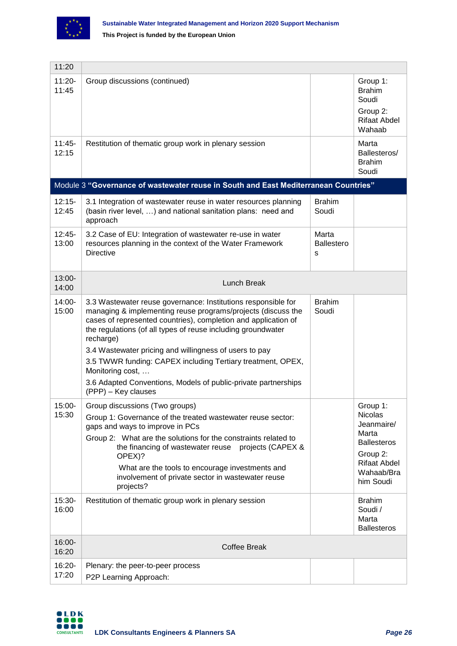

| 11:20              |                                                                                                                                                                                                                                                                                                                                                                                                                                                                                                                    |                                 |                                                                                                                                       |
|--------------------|--------------------------------------------------------------------------------------------------------------------------------------------------------------------------------------------------------------------------------------------------------------------------------------------------------------------------------------------------------------------------------------------------------------------------------------------------------------------------------------------------------------------|---------------------------------|---------------------------------------------------------------------------------------------------------------------------------------|
| $11:20 -$<br>11:45 | Group discussions (continued)                                                                                                                                                                                                                                                                                                                                                                                                                                                                                      |                                 | Group 1:<br><b>Brahim</b><br>Soudi<br>Group 2:<br><b>Rifaat Abdel</b><br>Wahaab                                                       |
| $11:45-$<br>12:15  | Restitution of thematic group work in plenary session                                                                                                                                                                                                                                                                                                                                                                                                                                                              |                                 | Marta<br>Ballesteros/<br><b>Brahim</b><br>Soudi                                                                                       |
|                    | Module 3 "Governance of wastewater reuse in South and East Mediterranean Countries"                                                                                                                                                                                                                                                                                                                                                                                                                                |                                 |                                                                                                                                       |
| $12:15-$<br>12:45  | 3.1 Integration of wastewater reuse in water resources planning<br>(basin river level, ) and national sanitation plans: need and<br>approach                                                                                                                                                                                                                                                                                                                                                                       | <b>Brahim</b><br>Soudi          |                                                                                                                                       |
| $12:45-$<br>13:00  | 3.2 Case of EU: Integration of wastewater re-use in water<br>resources planning in the context of the Water Framework<br><b>Directive</b>                                                                                                                                                                                                                                                                                                                                                                          | Marta<br><b>Ballestero</b><br>S |                                                                                                                                       |
| 13:00-<br>14:00    | Lunch Break                                                                                                                                                                                                                                                                                                                                                                                                                                                                                                        |                                 |                                                                                                                                       |
| 14:00-<br>15:00    | 3.3 Wastewater reuse governance: Institutions responsible for<br>managing & implementing reuse programs/projects (discuss the<br>cases of represented countries), completion and application of<br>the regulations (of all types of reuse including groundwater<br>recharge)<br>3.4 Wastewater pricing and willingness of users to pay<br>3.5 TWWR funding: CAPEX including Tertiary treatment, OPEX,<br>Monitoring cost,<br>3.6 Adapted Conventions, Models of public-private partnerships<br>(PPP) – Key clauses | <b>Brahim</b><br>Soudi          |                                                                                                                                       |
| 15:00-<br>15:30    | Group discussions (Two groups)<br>Group 1: Governance of the treated wastewater reuse sector:<br>gaps and ways to improve in PCs<br>Group 2: What are the solutions for the constraints related to<br>the financing of wastewater reuse projects (CAPEX &<br>OPEX)?<br>What are the tools to encourage investments and<br>involvement of private sector in wastewater reuse<br>projects?                                                                                                                           |                                 | Group 1:<br><b>Nicolas</b><br>Jeanmaire/<br>Marta<br><b>Ballesteros</b><br>Group 2:<br><b>Rifaat Abdel</b><br>Wahaab/Bra<br>him Soudi |
| 15:30-<br>16:00    | Restitution of thematic group work in plenary session                                                                                                                                                                                                                                                                                                                                                                                                                                                              |                                 | <b>Brahim</b><br>Soudi /<br>Marta<br><b>Ballesteros</b>                                                                               |
| 16:00-<br>16:20    | <b>Coffee Break</b>                                                                                                                                                                                                                                                                                                                                                                                                                                                                                                |                                 |                                                                                                                                       |
| 16:20-<br>17:20    | Plenary: the peer-to-peer process<br>P2P Learning Approach:                                                                                                                                                                                                                                                                                                                                                                                                                                                        |                                 |                                                                                                                                       |

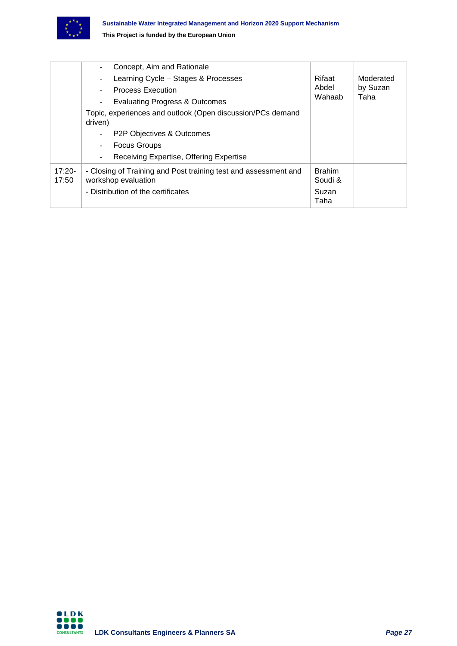

|                   | Concept, Aim and Rationale                                                             |                          |           |
|-------------------|----------------------------------------------------------------------------------------|--------------------------|-----------|
|                   | Learning Cycle - Stages & Processes<br>$\overline{\phantom{a}}$                        | Rifaat                   | Moderated |
|                   | <b>Process Execution</b>                                                               | Abdel                    | by Suzan  |
|                   | <b>Evaluating Progress &amp; Outcomes</b>                                              | Wahaab                   | Taha      |
|                   | Topic, experiences and outlook (Open discussion/PCs demand<br>driven)                  |                          |           |
|                   | P2P Objectives & Outcomes                                                              |                          |           |
|                   | <b>Focus Groups</b><br>$\blacksquare$                                                  |                          |           |
|                   | Receiving Expertise, Offering Expertise<br>$\overline{\phantom{a}}$                    |                          |           |
| $17:20-$<br>17:50 | - Closing of Training and Post training test and assessment and<br>workshop evaluation | <b>Brahim</b><br>Soudi & |           |
|                   | - Distribution of the certificates                                                     | Suzan<br>Taha            |           |

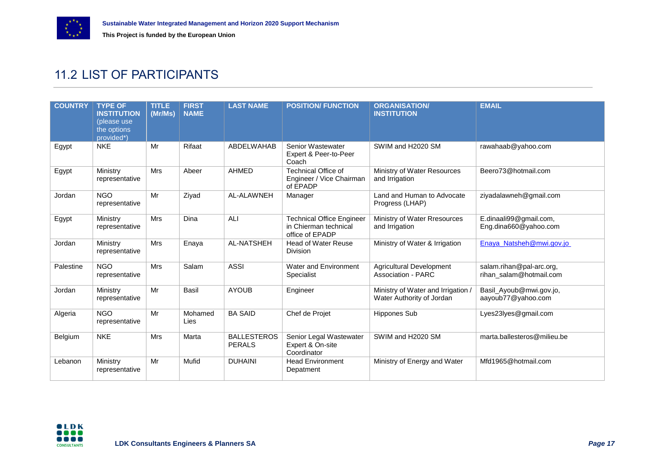

### 11.2 LIST OF PARTICIPANTS

<span id="page-27-0"></span>

| <b>COUNTRY</b> | <b>TYPE OF</b><br><b>INSTITUTION</b><br>(please use<br>the options<br>provided*) | <b>TITLE</b><br>(Mr/Ms) | <b>FIRST</b><br><b>NAME</b> | <b>LAST NAME</b>                    | <b>POSITION/ FUNCTION</b>                                                    | <b>ORGANISATION/</b><br><b>INSTITUTION</b>                      | <b>EMAIL</b>                                        |
|----------------|----------------------------------------------------------------------------------|-------------------------|-----------------------------|-------------------------------------|------------------------------------------------------------------------------|-----------------------------------------------------------------|-----------------------------------------------------|
| Egypt          | <b>NKE</b>                                                                       | Mr                      | Rifaat                      | ABDELWAHAB                          | Senior Wastewater<br>Expert & Peer-to-Peer<br>Coach                          | SWIM and H2020 SM                                               | rawahaab@yahoo.com                                  |
| Egypt          | Ministry<br>representative                                                       | <b>Mrs</b>              | Abeer                       | <b>AHMED</b>                        | <b>Technical Office of</b><br>Engineer / Vice Chairman<br>of EPADP           | Ministry of Water Resources<br>and Irrigation                   | Beero73@hotmail.com                                 |
| Jordan         | <b>NGO</b><br>representative                                                     | Mr                      | Ziyad                       | AL-ALAWNEH                          | Manager                                                                      | Land and Human to Advocate<br>Progress (LHAP)                   | ziyadalawneh@gmail.com                              |
| Egypt          | Ministry<br>representative                                                       | <b>Mrs</b>              | Dina                        | ALI                                 | <b>Technical Office Engineer</b><br>in Chierman technical<br>office of EPADP | Ministry of Water Rresources<br>and Irrigation                  | E.dinaali99@gmail.com,<br>Eng.dina660@yahoo.com     |
| Jordan         | Ministry<br>representative                                                       | <b>Mrs</b>              | Enaya                       | AL-NATSHEH                          | <b>Head of Water Reuse</b><br><b>Division</b>                                | Ministry of Water & Irrigation                                  | Enaya_Natsheh@mwi.gov.jo                            |
| Palestine      | <b>NGO</b><br>representative                                                     | <b>Mrs</b>              | Salam                       | <b>ASSI</b>                         | Water and Environment<br>Specialist                                          | <b>Agricultural Development</b><br>Association - PARC           | salam.rihan@pal-arc.org,<br>rihan_salam@hotmail.com |
| Jordan         | Ministry<br>representative                                                       | Mr                      | <b>Basil</b>                | <b>AYOUB</b>                        | Engineer                                                                     | Ministry of Water and Irrigation /<br>Water Authority of Jordan | Basil_Ayoub@mwi.gov.jo,<br>aayoub77@yahoo.com       |
| Algeria        | <b>NGO</b><br>representative                                                     | Mr                      | Mohamed<br>Lies             | <b>BA SAID</b>                      | Chef de Projet                                                               | <b>Hippones Sub</b>                                             | Lyes23lyes@gmail.com                                |
| Belgium        | <b>NKE</b>                                                                       | <b>Mrs</b>              | Marta                       | <b>BALLESTEROS</b><br><b>PERALS</b> | Senior Legal Wastewater<br>Expert & On-site<br>Coordinator                   | SWIM and H2020 SM                                               | marta.ballesteros@milieu.be                         |
| Lebanon        | Ministry<br>representative                                                       | Mr                      | Mufid                       | <b>DUHAINI</b>                      | <b>Head Environment</b><br>Depatment                                         | Ministry of Energy and Water                                    | Mfd1965@hotmail.com                                 |

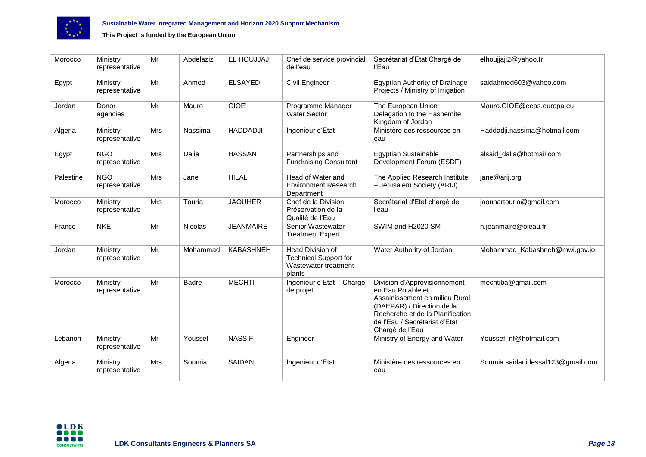

| Morocco   | Ministry<br>representative   | Mr  | Abdelaziz    | EL HOUJJAJI      | Chef de service provincial<br>de l'eau                                             | Secrétariat d'Etat Chargé de<br>l'Eau                                                                                                                                                                     | elhoujjaji2@yahoo.fr              |
|-----------|------------------------------|-----|--------------|------------------|------------------------------------------------------------------------------------|-----------------------------------------------------------------------------------------------------------------------------------------------------------------------------------------------------------|-----------------------------------|
| Egypt     | Ministry<br>representative   | Mr  | Ahmed        | <b>ELSAYED</b>   | Civil Engineer                                                                     | Egyptian Authority of Drainage<br>Projects / Ministry of Irrigation                                                                                                                                       | saidahmed603@yahoo.com            |
| Jordan    | Donor<br>agencies            | Mr  | Mauro        | GIOE'            | Programme Manager<br><b>Water Sector</b>                                           | The European Union<br>Delegation to the Hashemite<br>Kingdom of Jordan                                                                                                                                    | Mauro.GIOE@eeas.europa.eu         |
| Algeria   | Ministry<br>representative   | Mrs | Nassima      | <b>HADDADJI</b>  | Ingenieur d'Etat                                                                   | Ministère des ressources en<br>eau                                                                                                                                                                        | Haddadji.nassima@hotmail.com      |
| Egypt     | <b>NGO</b><br>representative | Mrs | Dalia        | <b>HASSAN</b>    | Partnerships and<br><b>Fundraising Consultant</b>                                  | <b>Egyptian Sustainable</b><br>Development Forum (ESDF)                                                                                                                                                   | alsaid_dalia@hotmail.com          |
| Palestine | <b>NGO</b><br>representative | Mrs | Jane         | <b>HILAL</b>     | Head of Water and<br><b>Environment Research</b><br>Department                     | The Applied Research Institute<br>- Jerusalem Society (ARIJ)                                                                                                                                              | jane@arij.org                     |
| Morocco   | Ministry<br>representative   | Mrs | Touria       | <b>JAOUHER</b>   | Chef de la Division<br>Préservation de la<br>Qualité de l'Eau                      | Secrétariat d'Etat chargé de<br>l'eau                                                                                                                                                                     | jaouhartouria@gmail.com           |
| France    | <b>NKE</b>                   | Mr  | Nicolas      | <b>JEANMAIRE</b> | Senior Wastewater<br><b>Treatment Expert</b>                                       | SWIM and H2020 SM                                                                                                                                                                                         | n.jeanmaire@oieau.fr              |
| Jordan    | Ministry<br>representative   | Mr  | Mohammad     | <b>KABASHNEH</b> | Head Division of<br><b>Technical Support for</b><br>Wastewater treatment<br>plants | Water Authority of Jordan                                                                                                                                                                                 | Mohammad_Kabashneh@mwi.gov.jo     |
| Morocco   | Ministry<br>representative   | Mr  | <b>Badre</b> | <b>MECHTI</b>    | Ingénieur d'Etat - Chargé<br>de projet                                             | Division d'Approvisionnement<br>en Eau Potable et<br>Assainissement en milieu Rural<br>(DAEPAR) / Direction de la<br>Recherche et de la Planification<br>de l'Eau / Secrétariat d'Etat<br>Chargé de l'Eau | mechtiba@gmail.com                |
| Lebanon   | Ministry<br>representative   | Mr  | Youssef      | <b>NASSIF</b>    | Engineer                                                                           | Ministry of Energy and Water                                                                                                                                                                              | Youssef_nf@hotmail.com            |
| Algeria   | Ministry<br>representative   | Mrs | Soumia       | SAIDANI          | Ingenieur d'Etat                                                                   | Ministère des ressources en<br>eau                                                                                                                                                                        | Soumia.saidanidessal123@gmail.com |

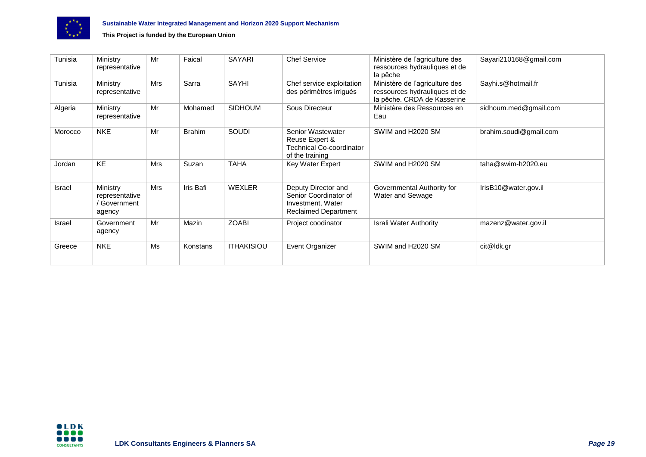

| Tunisia | Ministry<br>representative                           | Mr  | Faical        | <b>SAYARI</b>     | <b>Chef Service</b>                                                                              | Ministère de l'agriculture des<br>ressources hydrauliques et de<br>la pêche                    | Sayari210168@gmail.com |
|---------|------------------------------------------------------|-----|---------------|-------------------|--------------------------------------------------------------------------------------------------|------------------------------------------------------------------------------------------------|------------------------|
| Tunisia | Ministry<br>representative                           | Mrs | Sarra         | SAYHI             | Chef service exploitation<br>des périmètres irrigués                                             | Ministère de l'agriculture des<br>ressources hydrauliques et de<br>la pêche. CRDA de Kasserine | Sayhi.s@hotmail.fr     |
| Algeria | Ministry<br>representative                           | Mr  | Mohamed       | <b>SIDHOUM</b>    | Sous Directeur                                                                                   | Ministère des Ressources en<br>Eau                                                             | sidhoum.med@gmail.com  |
| Morocco | <b>NKE</b>                                           | Mr  | <b>Brahim</b> | SOUDI             | Senior Wastewater<br>Reuse Expert &<br><b>Technical Co-coordinator</b><br>of the training        | SWIM and H2020 SM                                                                              | brahim.soudi@gmail.com |
| Jordan  | KE                                                   | Mrs | Suzan         | <b>TAHA</b>       | Key Water Expert                                                                                 | SWIM and H2020 SM                                                                              | taha@swim-h2020.eu     |
| Israel  | Ministry<br>representative<br>' Government<br>agency | Mrs | Iris Bafi     | <b>WEXLER</b>     | Deputy Director and<br>Senior Coordinator of<br>Investment, Water<br><b>Reclaimed Department</b> | Governmental Authority for<br>Water and Sewage                                                 | IrisB10@water.gov.il   |
| Israel  | Government<br>agency                                 | Mr  | Mazin         | <b>ZOABI</b>      | Project coodinator                                                                               | <b>Israli Water Authority</b>                                                                  | mazenz@water.gov.il    |
| Greece  | <b>NKE</b>                                           | Ms  | Konstans      | <b>ITHAKISIOU</b> | Event Organizer                                                                                  | SWIM and H2020 SM                                                                              | cit@ldk.gr             |

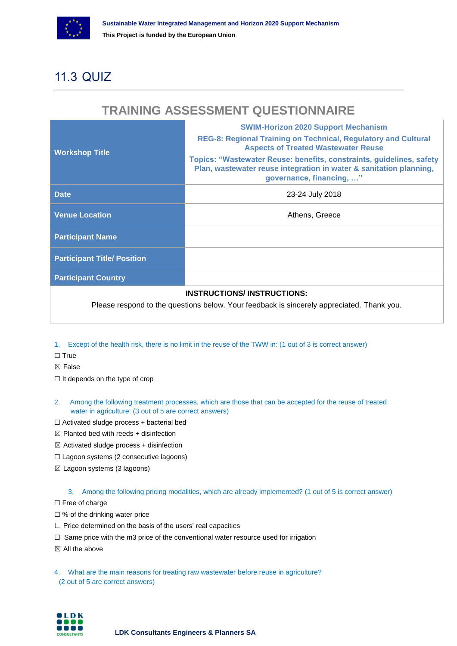

### <span id="page-30-0"></span>11.3 QUIZ

### **TRAINING ASSESSMENT QUESTIONNAIRE**

|                                                                                           | <b>SWIM-Horizon 2020 Support Mechanism</b>                                                                                                                             |  |  |  |  |
|-------------------------------------------------------------------------------------------|------------------------------------------------------------------------------------------------------------------------------------------------------------------------|--|--|--|--|
| <b>Workshop Title</b>                                                                     | REG-8: Regional Training on Technical, Regulatory and Cultural<br><b>Aspects of Treated Wastewater Reuse</b>                                                           |  |  |  |  |
|                                                                                           | Topics: "Wastewater Reuse: benefits, constraints, guidelines, safety<br>Plan, wastewater reuse integration in water & sanitation planning,<br>governance, financing, " |  |  |  |  |
| <b>Date</b>                                                                               | 23-24 July 2018                                                                                                                                                        |  |  |  |  |
| <b>Venue Location</b>                                                                     | Athens, Greece                                                                                                                                                         |  |  |  |  |
| <b>Participant Name</b>                                                                   |                                                                                                                                                                        |  |  |  |  |
| <b>Participant Title/ Position</b>                                                        |                                                                                                                                                                        |  |  |  |  |
| <b>Participant Country</b>                                                                |                                                                                                                                                                        |  |  |  |  |
|                                                                                           | <b>INSTRUCTIONS/INSTRUCTIONS:</b>                                                                                                                                      |  |  |  |  |
| Dlogge respond to the questions helpw. Vour feedback is sincerely conrespicted. Thenk you |                                                                                                                                                                        |  |  |  |  |

Please respond to the questions below. Your feedback is sincerely appreciated. Thank you.

- 1. Except of the health risk, there is no limit in the reuse of the TWW in: (1 out of 3 is correct answer)
- ☐ True
- ☒ False
- ☐ It depends on the type of crop
- 2. Among the following treatment processes, which are those that can be accepted for the reuse of treated water in agriculture: (3 out of 5 are correct answers)
- $\Box$  Activated sludge process + bacterial bed
- $\boxtimes$  Planted bed with reeds + disinfection
- $\boxtimes$  Activated sludge process + disinfection
- ☐ Lagoon systems (2 consecutive lagoons)
- ☒ Lagoon systems (3 lagoons)

3. Among the following pricing modalities, which are already implemented? (1 out of 5 is correct answer)

□ Free of charge

- □ % of the drinking water price
- ☐ Price determined on the basis of the users' real capacities
- □ Same price with the m3 price of the conventional water resource used for irrigation
- $\boxtimes$  All the above

4. What are the main reasons for treating raw wastewater before reuse in agriculture? (2 out of 5 are correct answers)

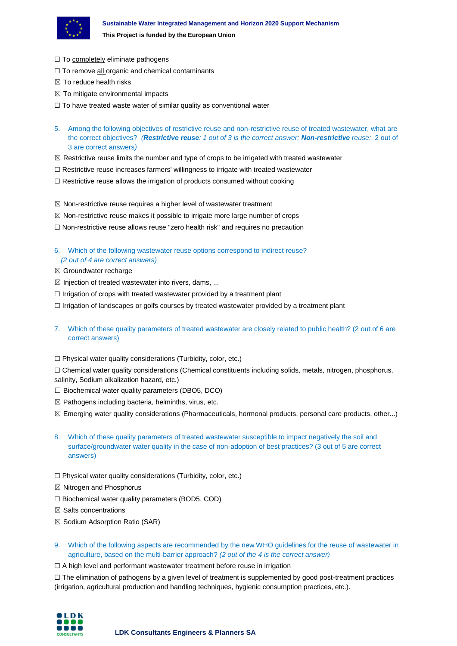

- □ To completely eliminate pathogens
- □ To remove all organic and chemical contaminants
- $\boxtimes$  To reduce health risks
- $\boxtimes$  To mitigate environmental impacts
- □ To have treated waste water of similar quality as conventional water
- 5. Among the following objectives of restrictive reuse and non-restrictive reuse of treated wastewater, what are the correct objectives? *(Restrictive reuse: 1 out of 3 is the correct answer; Non-restrictive reuse:* 2 out of 3 are correct answers*)*
- $\boxtimes$  Restrictive reuse limits the number and type of crops to be irrigated with treated wastewater
- $\Box$  Restrictive reuse increases farmers' willingness to irrigate with treated wastewater
- $\Box$  Restrictive reuse allows the irrigation of products consumed without cooking
- $\boxtimes$  Non-restrictive reuse requires a higher level of wastewater treatment
- $\boxtimes$  Non-restrictive reuse makes it possible to irrigate more large number of crops
- $\Box$  Non-restrictive reuse allows reuse "zero health risk" and requires no precaution
- 6. Which of the following wastewater reuse options correspond to indirect reuse? *(2 out of 4 are correct answers)*
- ☒ Groundwater recharge
- $\boxtimes$  Injection of treated wastewater into rivers, dams, ...
- ☐ Irrigation of crops with treated wastewater provided by a treatment plant
- ☐ Irrigation of landscapes or golfs courses by treated wastewater provided by a treatment plant
- 7. Which of these quality parameters of treated wastewater are closely related to public health? (2 out of 6 are correct answers)
- ☐ Physical water quality considerations (Turbidity, color, etc.)

☐ Chemical water quality considerations (Chemical constituents including solids, metals, nitrogen, phosphorus, salinity, Sodium alkalization hazard, etc.)

- $\Box$  Biochemical water quality parameters (DBO5, DCO)
- $\boxtimes$  Pathogens including bacteria, helminths, virus, etc.
- ☒ Emerging water quality considerations (Pharmaceuticals, hormonal products, personal care products, other...)
- 8. Which of these quality parameters of treated wastewater susceptible to impact negatively the soil and surface/groundwater water quality in the case of non-adoption of best practices? (3 out of 5 are correct answers)
- $\Box$  Physical water quality considerations (Turbidity, color, etc.)
- ☒ Nitrogen and Phosphorus
- ☐ Biochemical water quality parameters (BOD5, COD)
- $\boxtimes$  Salts concentrations
- ☒ Sodium Adsorption Ratio (SAR)
- 9. Which of the following aspects are recommended by the new WHO guidelines for the reuse of wastewater in agriculture, based on the multi-barrier approach? *(2 out of the 4 is the correct answer)*
- □ A high level and performant wastewater treatment before reuse in irrigation

☐ The elimination of pathogens by a given level of treatment is supplemented by good post-treatment practices (irrigation, agricultural production and handling techniques, hygienic consumption practices, etc.).